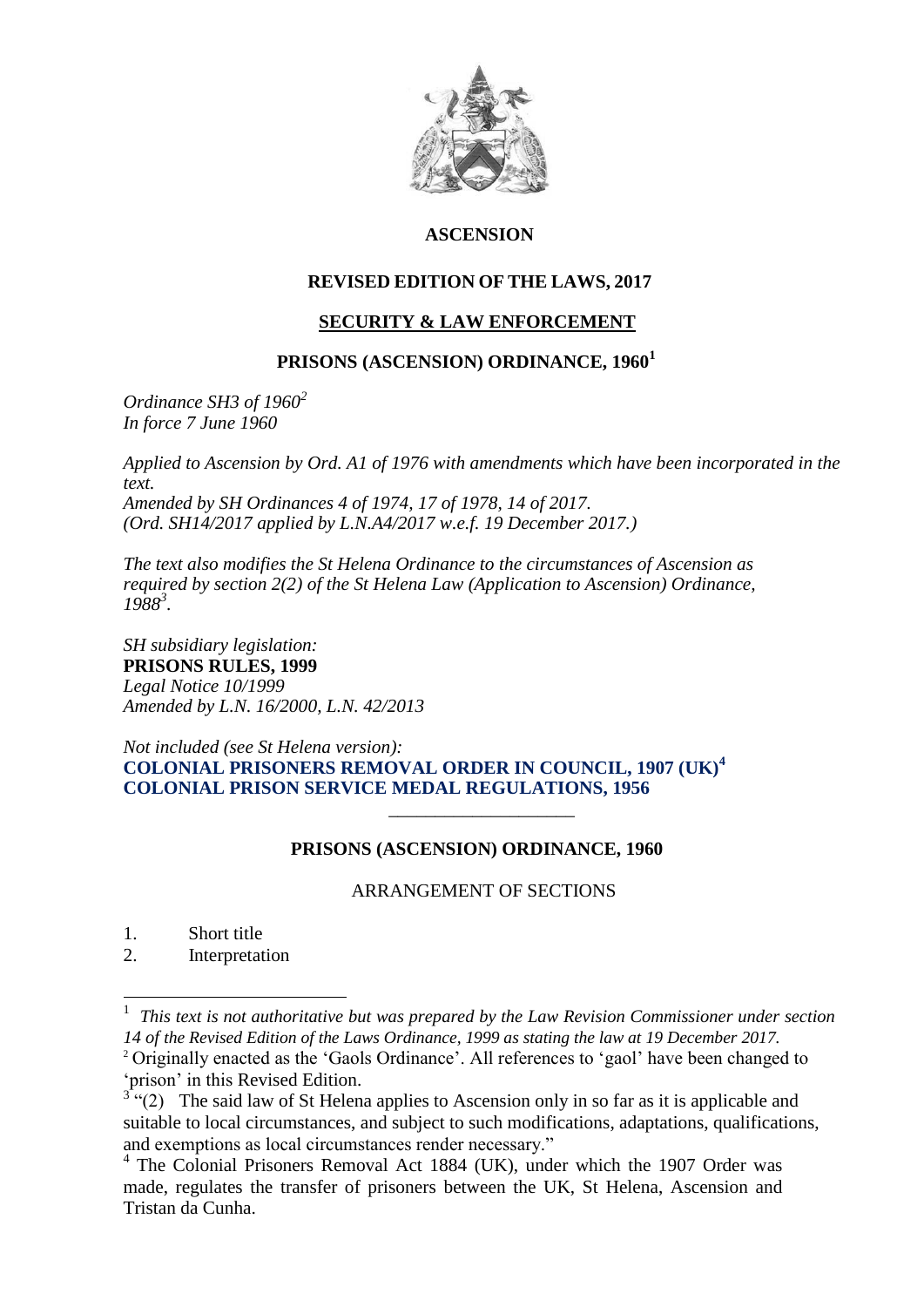

# **ASCENSION**

# **REVISED EDITION OF THE LAWS, 2017**

# **SECURITY & LAW ENFORCEMENT**

# **PRISONS (ASCENSION) ORDINANCE, 1960<sup>1</sup>**

*Ordinance SH3 of 1960<sup>2</sup> In force 7 June 1960*

*Applied to Ascension by Ord. A1 of 1976 with amendments which have been incorporated in the text. Amended by SH Ordinances 4 of 1974, 17 of 1978, 14 of 2017. (Ord. SH14/2017 applied by L.N.A4/2017 w.e.f. 19 December 2017.)*

*The text also modifies the St Helena Ordinance to the circumstances of Ascension as required by section 2(2) of the St Helena Law (Application to Ascension) Ordinance, 1988<sup>3</sup> .*

*SH subsidiary legislation:* **PRISONS RULES, 1999**  *Legal Notice 10/1999 Amended by L.N. 16/2000, L.N. 42/2013* 

*Not included (see St Helena version):* **COLONIAL PRISONERS REMOVAL ORDER IN COUNCIL, 1907 (UK)<sup>4</sup> COLONIAL PRISON SERVICE MEDAL REGULATIONS, 1956**  *\_\_\_\_\_\_\_\_\_\_\_\_\_\_\_\_\_\_\_\_*

## **PRISONS (ASCENSION) ORDINANCE, 1960**

## ARRANGEMENT OF SECTIONS

1. Short title

1

2. Interpretation

1 *This text is not authoritative but was prepared by the Law Revision Commissioner under section 14 of the Revised Edition of the Laws Ordinance, 1999 as stating the law at 19 December 2017.* <sup>2</sup> Originally enacted as the 'Gaols Ordinance'. All references to 'gaol' have been changed to 'prison' in this Revised Edition.<br><sup>3</sup> "(2) The said law of St Helena applies to Ascension only in so far as it is applicable and

suitable to local circumstances, and subject to such modifications, adaptations, qualifications, and exemptions as local circumstances render necessary."

<sup>&</sup>lt;sup>4</sup> The Colonial Prisoners Removal Act 1884 (UK), under which the 1907 Order was made, regulates the transfer of prisoners between the UK, St Helena, Ascension and Tristan da Cunha.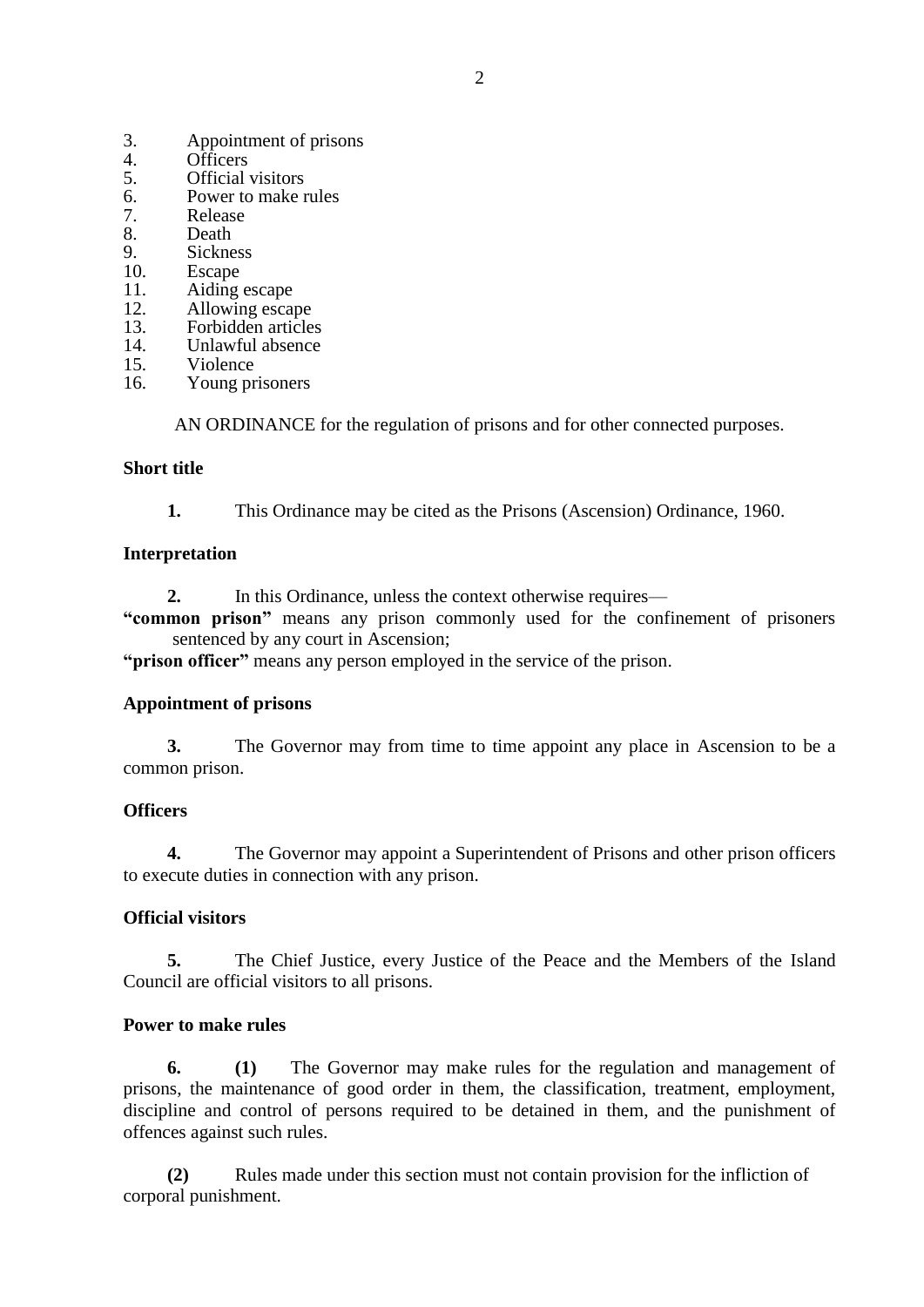- 3. Appointment of prisons
- 4. Officers<br>5. Official
- 5. **Official visitors**<br>6. **Power to make r**
- 6. Power to make rules<br>
7 Release
- 7. Release
- 8. Death<br>9. Sickne
- 9. Sickness<br>10 Escape
- **Escape**
- 11. Aiding escape
- 12. Allowing escape
- 13. Forbidden articles
- 14. Unlawful absence<br>15. Violence
- 15. Violence<br>16. Young pr
- Young prisoners

AN ORDINANCE for the regulation of prisons and for other connected purposes.

# **Short title**

**1.** This Ordinance may be cited as the Prisons (Ascension) Ordinance, 1960.

# **Interpretation**

- **2.** In this Ordinance, unless the context otherwise requires—
- **"common prison"** means any prison commonly used for the confinement of prisoners sentenced by any court in Ascension;

**"prison officer"** means any person employed in the service of the prison.

# **Appointment of prisons**

**3.** The Governor may from time to time appoint any place in Ascension to be a common prison.

# **Officers**

**4.** The Governor may appoint a Superintendent of Prisons and other prison officers to execute duties in connection with any prison.

# **Official visitors**

**5.** The Chief Justice, every Justice of the Peace and the Members of the Island Council are official visitors to all prisons.

# **Power to make rules**

**6. (1)** The Governor may make rules for the regulation and management of prisons, the maintenance of good order in them, the classification, treatment, employment, discipline and control of persons required to be detained in them, and the punishment of offences against such rules.

**(2)** Rules made under this section must not contain provision for the infliction of corporal punishment.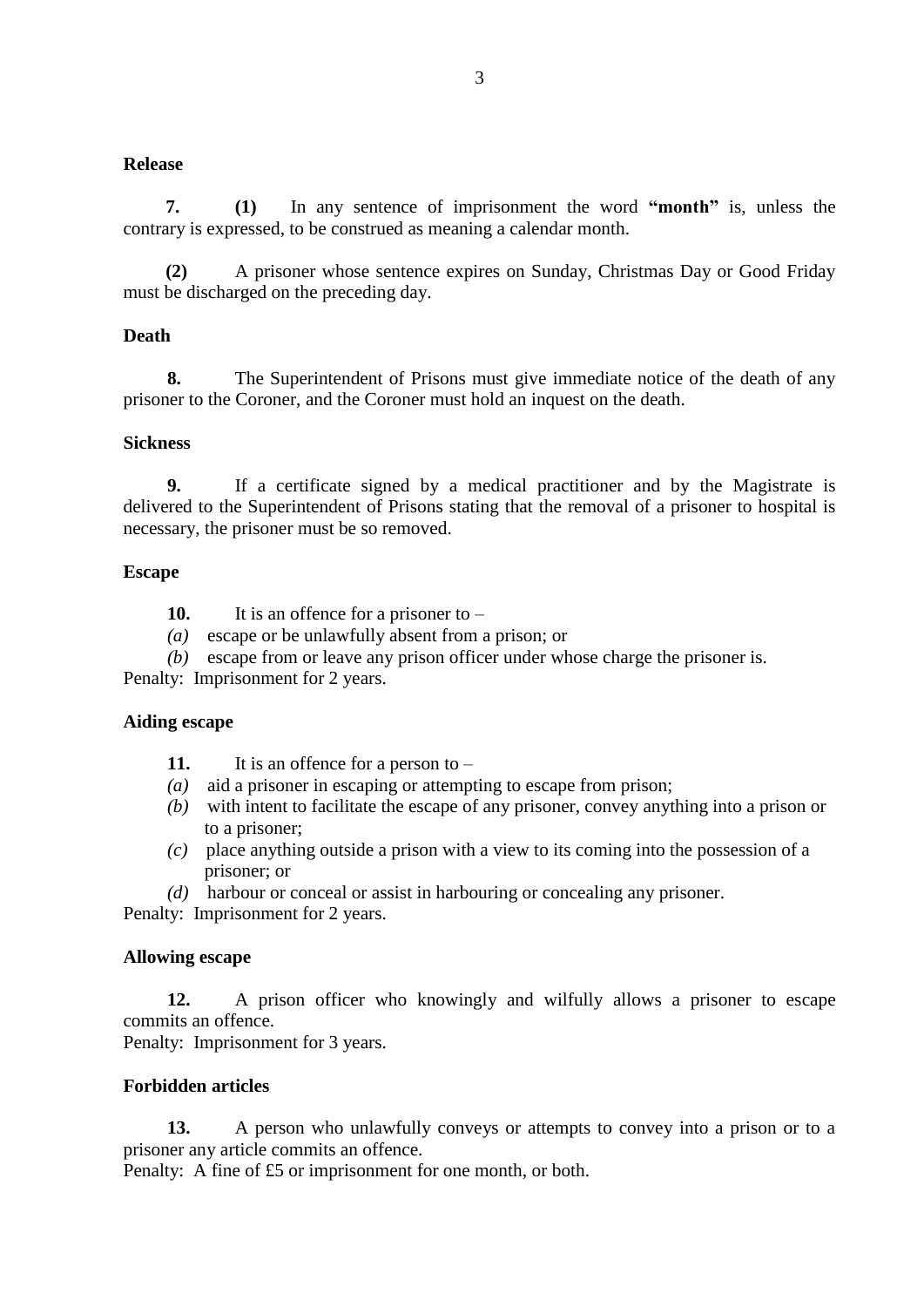## **Release**

**7. (1)** In any sentence of imprisonment the word **"month"** is, unless the contrary is expressed, to be construed as meaning a calendar month.

**(2)** A prisoner whose sentence expires on Sunday, Christmas Day or Good Friday must be discharged on the preceding day.

## **Death**

**8.** The Superintendent of Prisons must give immediate notice of the death of any prisoner to the Coroner, and the Coroner must hold an inquest on the death.

#### **Sickness**

**9.** If a certificate signed by a medical practitioner and by the Magistrate is delivered to the Superintendent of Prisons stating that the removal of a prisoner to hospital is necessary, the prisoner must be so removed.

#### **Escape**

- **10.** It is an offence for a prisoner to –
- *(a)* escape or be unlawfully absent from a prison; or
- *(b)* escape from or leave any prison officer under whose charge the prisoner is.

Penalty: Imprisonment for 2 years.

#### **Aiding escape**

**11.** It is an offence for a person to –

- *(a)* aid a prisoner in escaping or attempting to escape from prison;
- *(b)* with intent to facilitate the escape of any prisoner, convey anything into a prison or to a prisoner;
- *(c)* place anything outside a prison with a view to its coming into the possession of a prisoner; or
- *(d)* harbour or conceal or assist in harbouring or concealing any prisoner.

Penalty: Imprisonment for 2 years.

#### **Allowing escape**

**12.** A prison officer who knowingly and wilfully allows a prisoner to escape commits an offence.

Penalty: Imprisonment for 3 years.

# **Forbidden articles**

**13.** A person who unlawfully conveys or attempts to convey into a prison or to a prisoner any article commits an offence.

Penalty: A fine of £5 or imprisonment for one month, or both.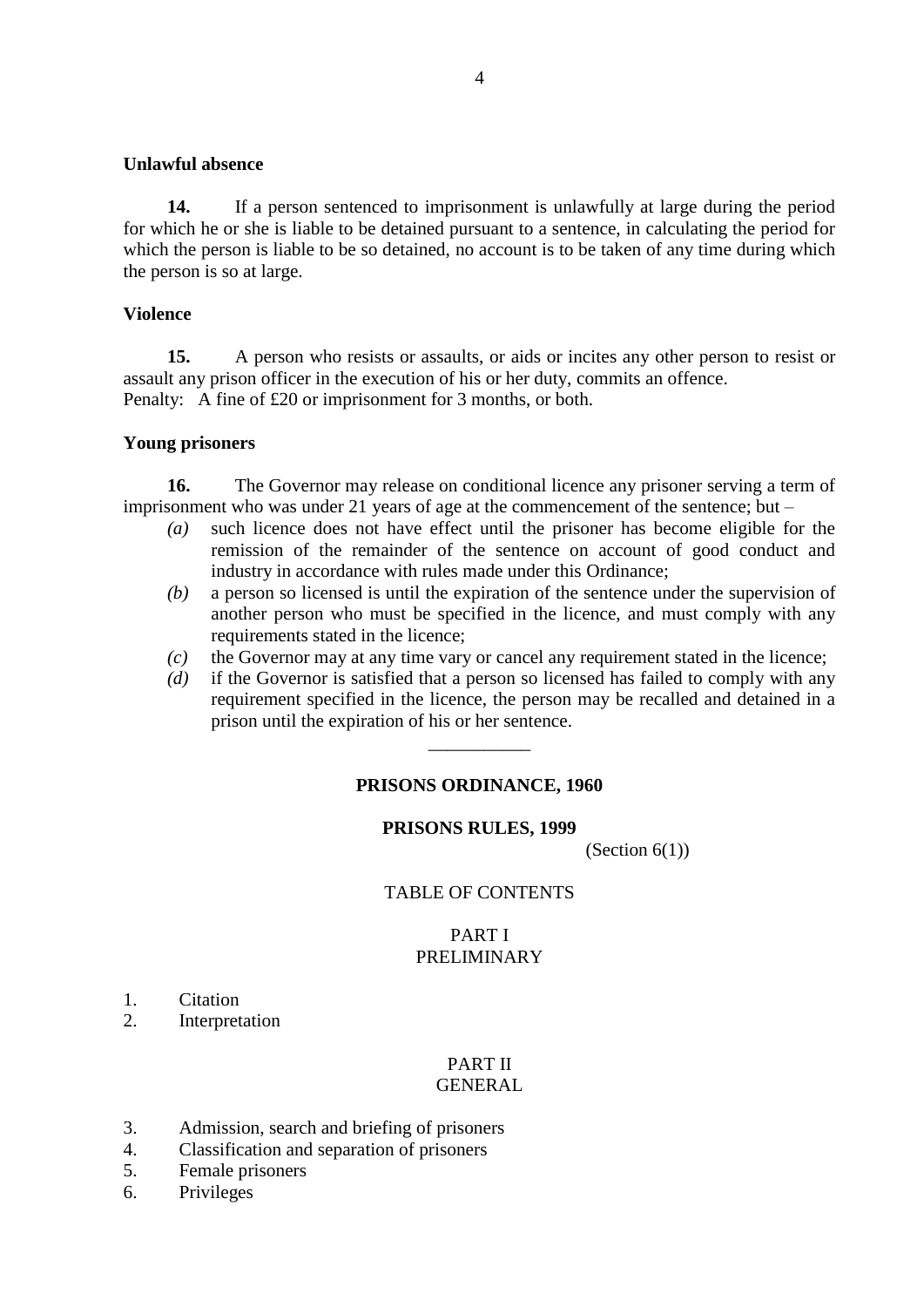#### **Unlawful absence**

**14.** If a person sentenced to imprisonment is unlawfully at large during the period for which he or she is liable to be detained pursuant to a sentence, in calculating the period for which the person is liable to be so detained, no account is to be taken of any time during which the person is so at large.

#### **Violence**

**15.** A person who resists or assaults, or aids or incites any other person to resist or assault any prison officer in the execution of his or her duty, commits an offence. Penalty: A fine of £20 or imprisonment for 3 months, or both.

#### **Young prisoners**

**16.** The Governor may release on conditional licence any prisoner serving a term of imprisonment who was under 21 years of age at the commencement of the sentence; but –

- *(a)* such licence does not have effect until the prisoner has become eligible for the remission of the remainder of the sentence on account of good conduct and industry in accordance with rules made under this Ordinance;
- *(b)* a person so licensed is until the expiration of the sentence under the supervision of another person who must be specified in the licence, and must comply with any requirements stated in the licence;
- *(c)* the Governor may at any time vary or cancel any requirement stated in the licence;
- *(d)* if the Governor is satisfied that a person so licensed has failed to comply with any requirement specified in the licence, the person may be recalled and detained in a prison until the expiration of his or her sentence.

## **PRISONS ORDINANCE, 1960**

\_\_\_\_\_\_\_\_\_\_\_

#### **PRISONS RULES, 1999**

(Section  $6(1)$ )

#### TABLE OF CONTENTS

## PART I PRELIMINARY

- 1. Citation
- 2. Interpretation

#### PART II GENERAL

- 3. Admission, search and briefing of prisoners
- 4. Classification and separation of prisoners
- 5. Female prisoners
- 6. Privileges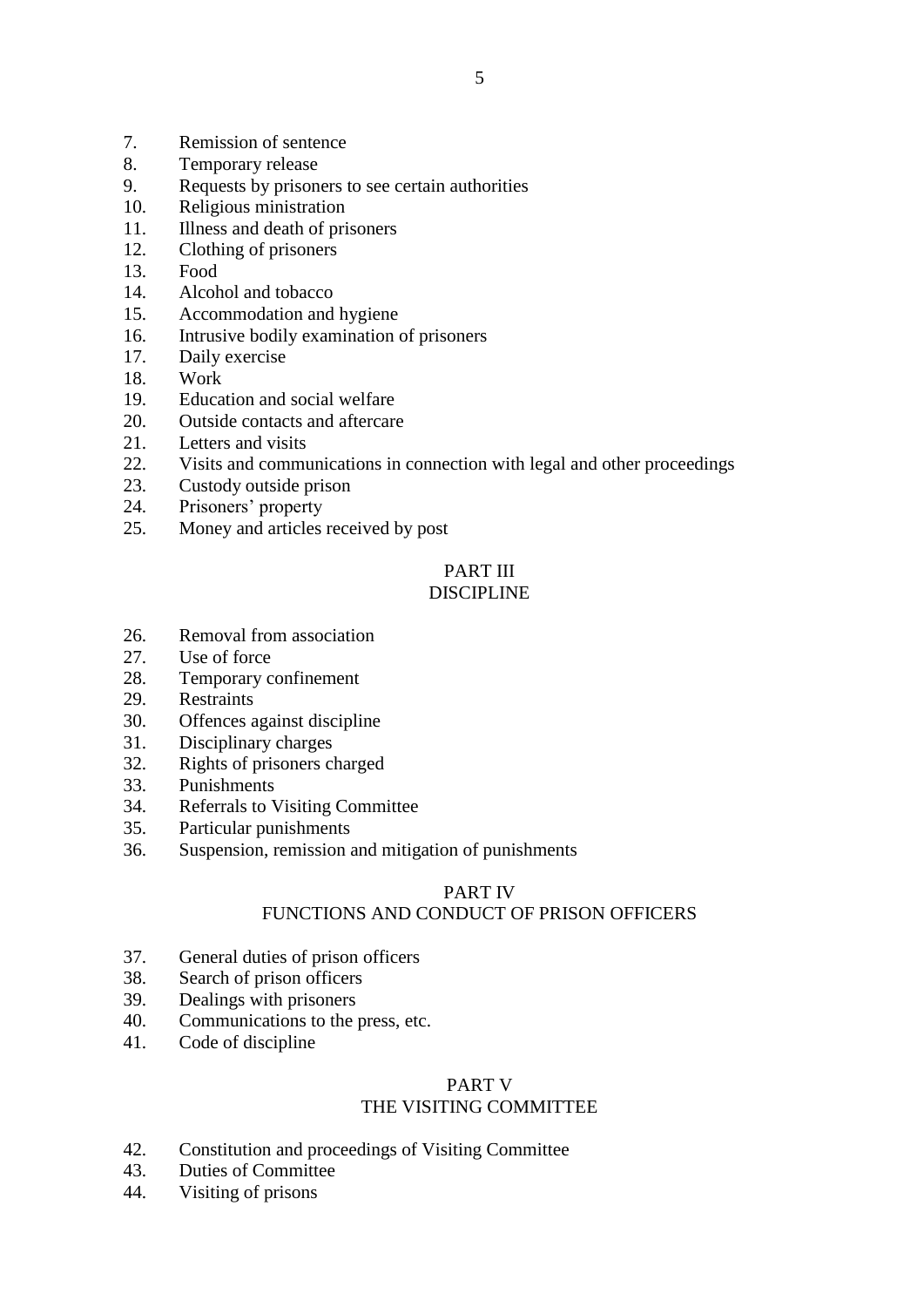- 7. Remission of sentence
- 8. Temporary release
- 9. Requests by prisoners to see certain authorities
- 10. Religious ministration
- 11. Illness and death of prisoners
- 12. Clothing of prisoners
- 13. Food
- 14. Alcohol and tobacco
- 15. Accommodation and hygiene
- 16. Intrusive bodily examination of prisoners
- 17. Daily exercise
- 18. Work
- 19. Education and social welfare
- 20. Outside contacts and aftercare
- 21. Letters and visits
- 22. Visits and communications in connection with legal and other proceedings
- 23. Custody outside prison
- 24. Prisoners' property
- 25. Money and articles received by post

# PART III

# DISCIPLINE

- 26. Removal from association
- 27. Use of force
- 28. Temporary confinement
- 29. Restraints
- 30. Offences against discipline
- 31. Disciplinary charges
- 32. Rights of prisoners charged
- 33. Punishments
- 34. Referrals to Visiting Committee
- 35. Particular punishments
- 36. Suspension, remission and mitigation of punishments

# PART IV

# FUNCTIONS AND CONDUCT OF PRISON OFFICERS

- 37. General duties of prison officers
- 38. Search of prison officers
- 39. Dealings with prisoners
- 40. Communications to the press, etc.
- 41. Code of discipline

# PART V THE VISITING COMMITTEE

- 42. Constitution and proceedings of Visiting Committee
- 43. Duties of Committee
- 44. Visiting of prisons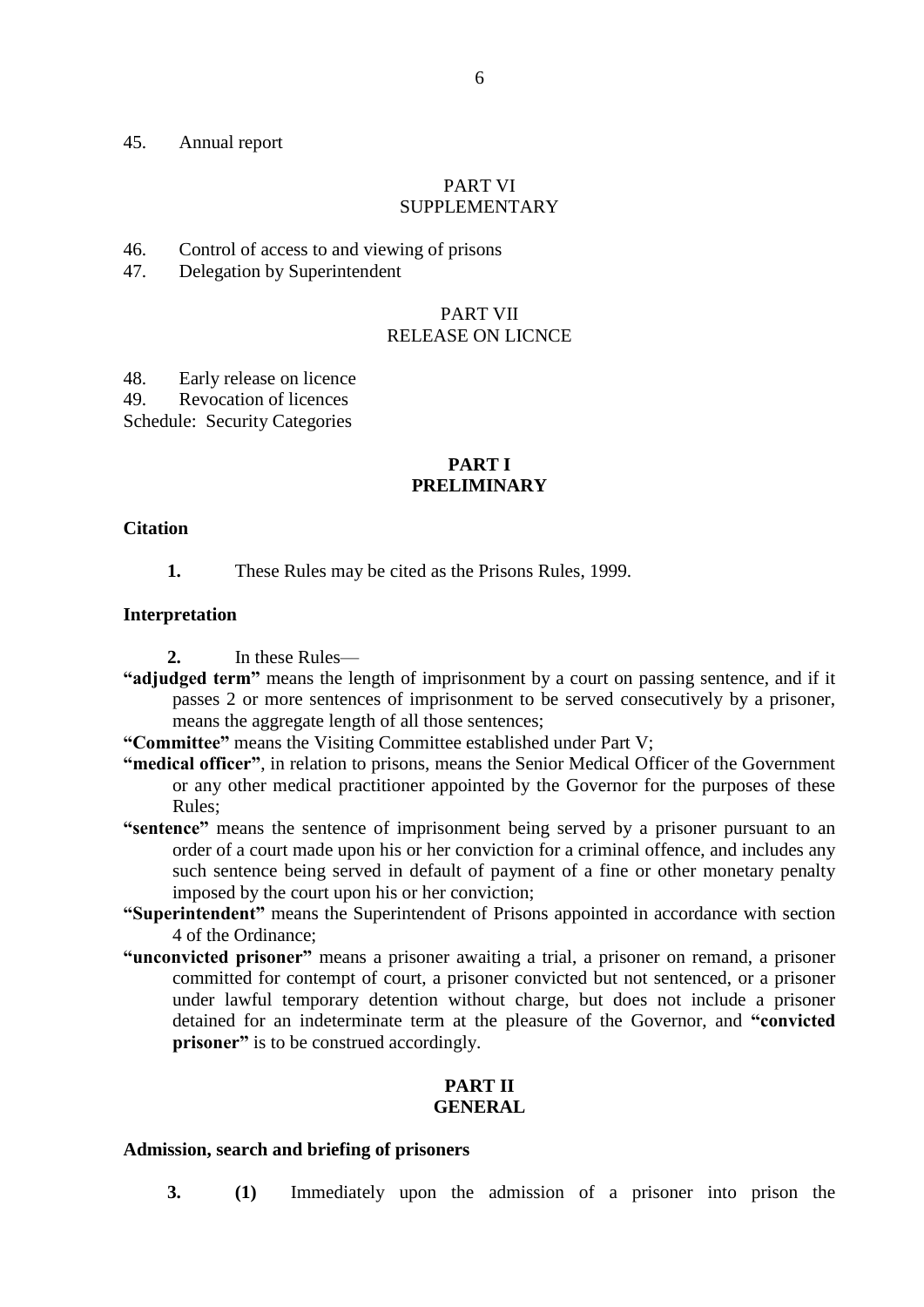#### 45. Annual report

#### PART VI SUPPLEMENTARY

46. Control of access to and viewing of prisons

47. Delegation by Superintendent

#### PART VII RELEASE ON LICNCE

48. Early release on licence

49. Revocation of licences

Schedule: Security Categories

## **PART I PRELIMINARY**

#### **Citation**

**1.** These Rules may be cited as the Prisons Rules, 1999.

#### **Interpretation**

**2.** In these Rules—

**"adjudged term"** means the length of imprisonment by a court on passing sentence, and if it passes 2 or more sentences of imprisonment to be served consecutively by a prisoner, means the aggregate length of all those sentences;

**"Committee"** means the Visiting Committee established under Part V;

- **"medical officer"**, in relation to prisons, means the Senior Medical Officer of the Government or any other medical practitioner appointed by the Governor for the purposes of these Rules;
- **"sentence"** means the sentence of imprisonment being served by a prisoner pursuant to an order of a court made upon his or her conviction for a criminal offence, and includes any such sentence being served in default of payment of a fine or other monetary penalty imposed by the court upon his or her conviction;
- **"Superintendent"** means the Superintendent of Prisons appointed in accordance with section 4 of the Ordinance;
- **"unconvicted prisoner"** means a prisoner awaiting a trial, a prisoner on remand, a prisoner committed for contempt of court, a prisoner convicted but not sentenced, or a prisoner under lawful temporary detention without charge, but does not include a prisoner detained for an indeterminate term at the pleasure of the Governor, and **"convicted prisoner**" is to be construed accordingly.

#### **PART II GENERAL**

#### **Admission, search and briefing of prisoners**

**3. (1)** Immediately upon the admission of a prisoner into prison the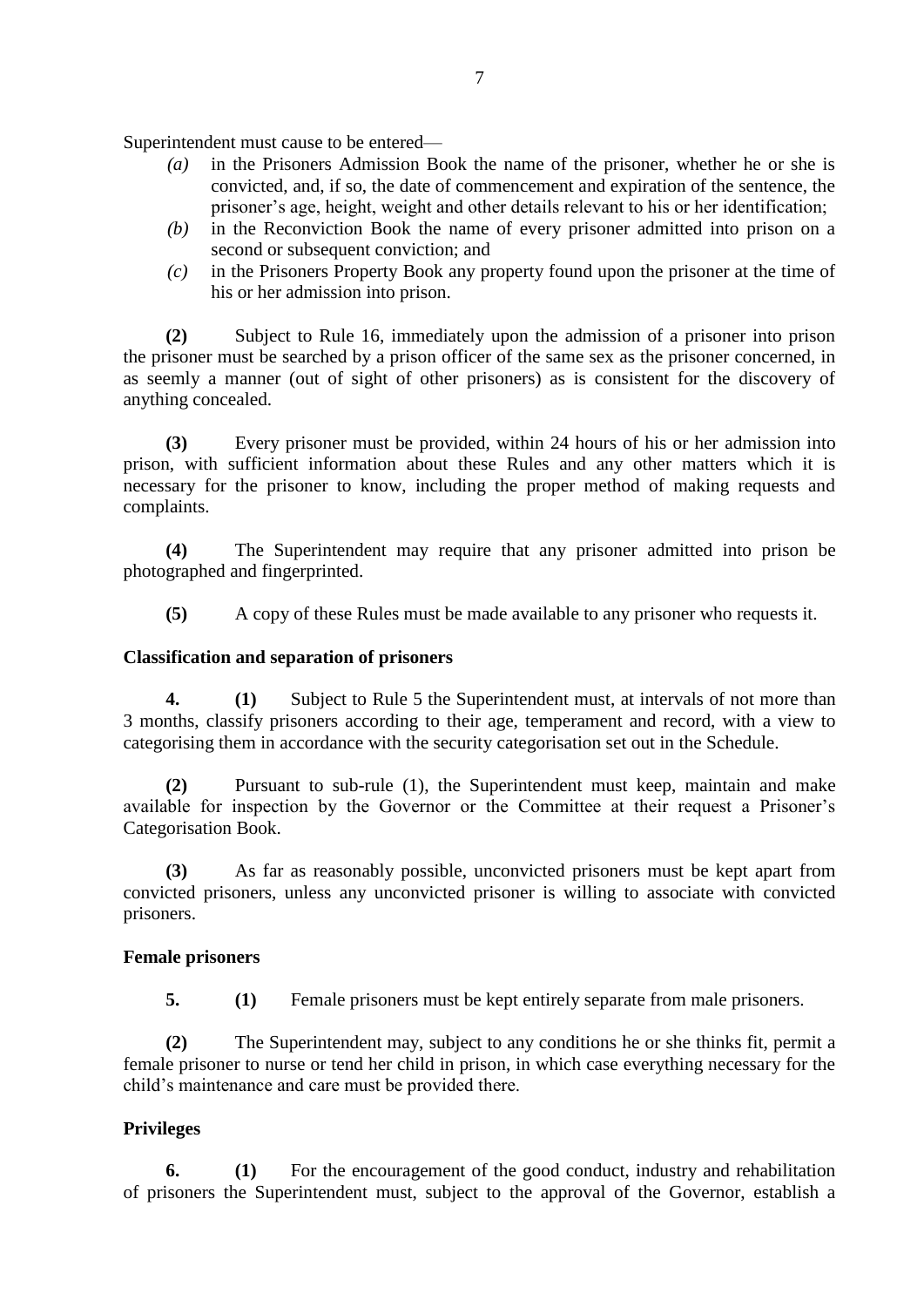Superintendent must cause to be entered—

- *(a)* in the Prisoners Admission Book the name of the prisoner, whether he or she is convicted, and, if so, the date of commencement and expiration of the sentence, the prisoner's age, height, weight and other details relevant to his or her identification;
- *(b)* in the Reconviction Book the name of every prisoner admitted into prison on a second or subsequent conviction; and
- *(c)* in the Prisoners Property Book any property found upon the prisoner at the time of his or her admission into prison.

**(2)** Subject to Rule 16, immediately upon the admission of a prisoner into prison the prisoner must be searched by a prison officer of the same sex as the prisoner concerned, in as seemly a manner (out of sight of other prisoners) as is consistent for the discovery of anything concealed.

**(3)** Every prisoner must be provided, within 24 hours of his or her admission into prison, with sufficient information about these Rules and any other matters which it is necessary for the prisoner to know, including the proper method of making requests and complaints.

**(4)** The Superintendent may require that any prisoner admitted into prison be photographed and fingerprinted.

**(5)** A copy of these Rules must be made available to any prisoner who requests it.

## **Classification and separation of prisoners**

**4. (1)** Subject to Rule 5 the Superintendent must, at intervals of not more than 3 months, classify prisoners according to their age, temperament and record, with a view to categorising them in accordance with the security categorisation set out in the Schedule.

**(2)** Pursuant to sub-rule (1), the Superintendent must keep, maintain and make available for inspection by the Governor or the Committee at their request a Prisoner's Categorisation Book.

**(3)** As far as reasonably possible, unconvicted prisoners must be kept apart from convicted prisoners, unless any unconvicted prisoner is willing to associate with convicted prisoners.

## **Female prisoners**

**5. (1)** Female prisoners must be kept entirely separate from male prisoners.

**(2)** The Superintendent may, subject to any conditions he or she thinks fit, permit a female prisoner to nurse or tend her child in prison, in which case everything necessary for the child's maintenance and care must be provided there.

# **Privileges**

**6. (1)** For the encouragement of the good conduct, industry and rehabilitation of prisoners the Superintendent must, subject to the approval of the Governor, establish a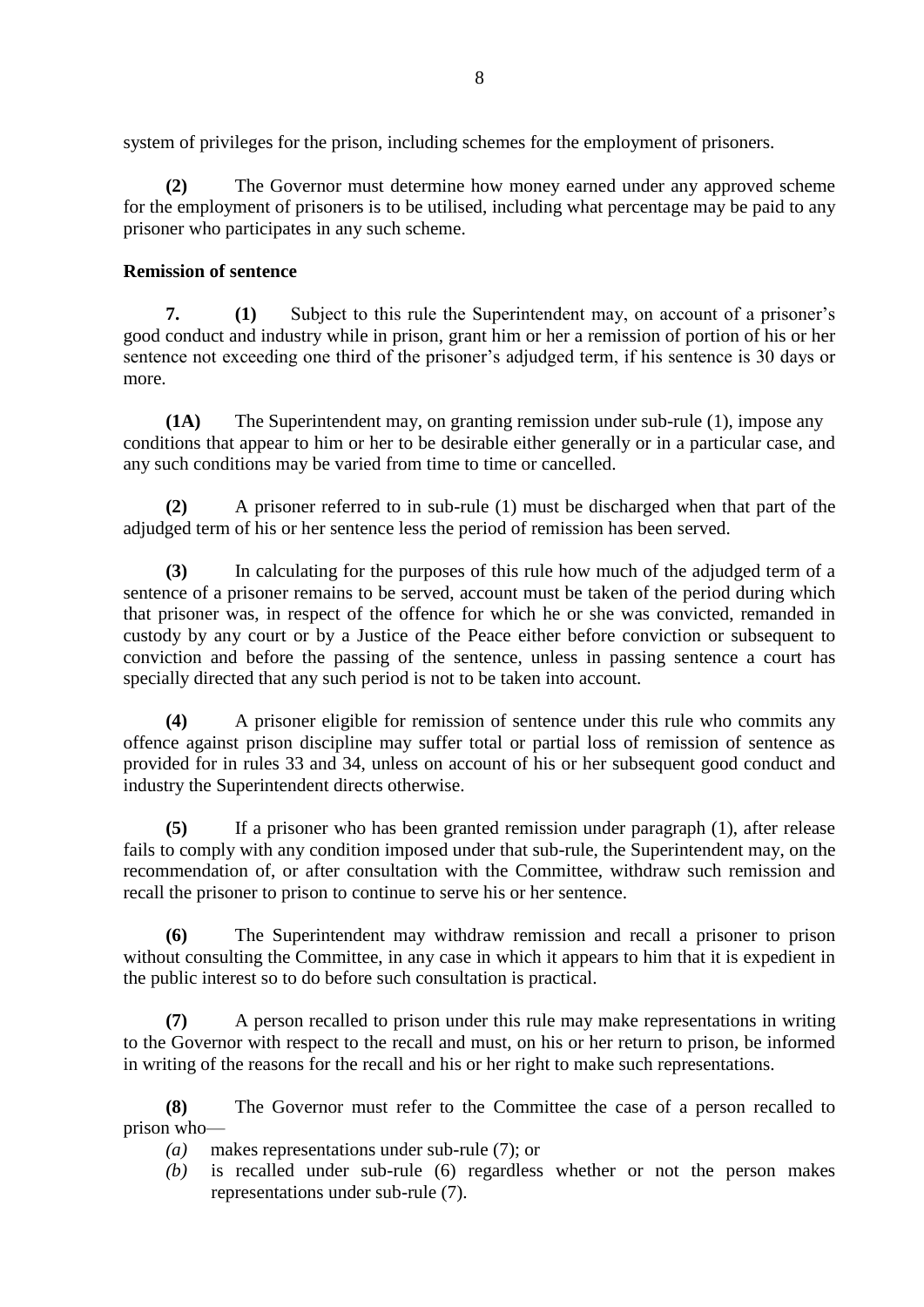system of privileges for the prison, including schemes for the employment of prisoners.

**(2)** The Governor must determine how money earned under any approved scheme for the employment of prisoners is to be utilised, including what percentage may be paid to any prisoner who participates in any such scheme.

# **Remission of sentence**

**7. (1)** Subject to this rule the Superintendent may, on account of a prisoner's good conduct and industry while in prison, grant him or her a remission of portion of his or her sentence not exceeding one third of the prisoner's adjudged term, if his sentence is 30 days or more.

**(1A)** The Superintendent may, on granting remission under sub-rule (1), impose any conditions that appear to him or her to be desirable either generally or in a particular case, and any such conditions may be varied from time to time or cancelled.

**(2)** A prisoner referred to in sub-rule (1) must be discharged when that part of the adjudged term of his or her sentence less the period of remission has been served.

**(3)** In calculating for the purposes of this rule how much of the adjudged term of a sentence of a prisoner remains to be served, account must be taken of the period during which that prisoner was, in respect of the offence for which he or she was convicted, remanded in custody by any court or by a Justice of the Peace either before conviction or subsequent to conviction and before the passing of the sentence, unless in passing sentence a court has specially directed that any such period is not to be taken into account.

**(4)** A prisoner eligible for remission of sentence under this rule who commits any offence against prison discipline may suffer total or partial loss of remission of sentence as provided for in rules 33 and 34, unless on account of his or her subsequent good conduct and industry the Superintendent directs otherwise.

**(5)** If a prisoner who has been granted remission under paragraph (1), after release fails to comply with any condition imposed under that sub-rule, the Superintendent may, on the recommendation of, or after consultation with the Committee, withdraw such remission and recall the prisoner to prison to continue to serve his or her sentence.

**(6)** The Superintendent may withdraw remission and recall a prisoner to prison without consulting the Committee, in any case in which it appears to him that it is expedient in the public interest so to do before such consultation is practical.

**(7)** A person recalled to prison under this rule may make representations in writing to the Governor with respect to the recall and must, on his or her return to prison, be informed in writing of the reasons for the recall and his or her right to make such representations.

**(8)** The Governor must refer to the Committee the case of a person recalled to prison who—

- *(a)* makes representations under sub-rule (7); or
- *(b)* is recalled under sub-rule (6) regardless whether or not the person makes representations under sub-rule (7).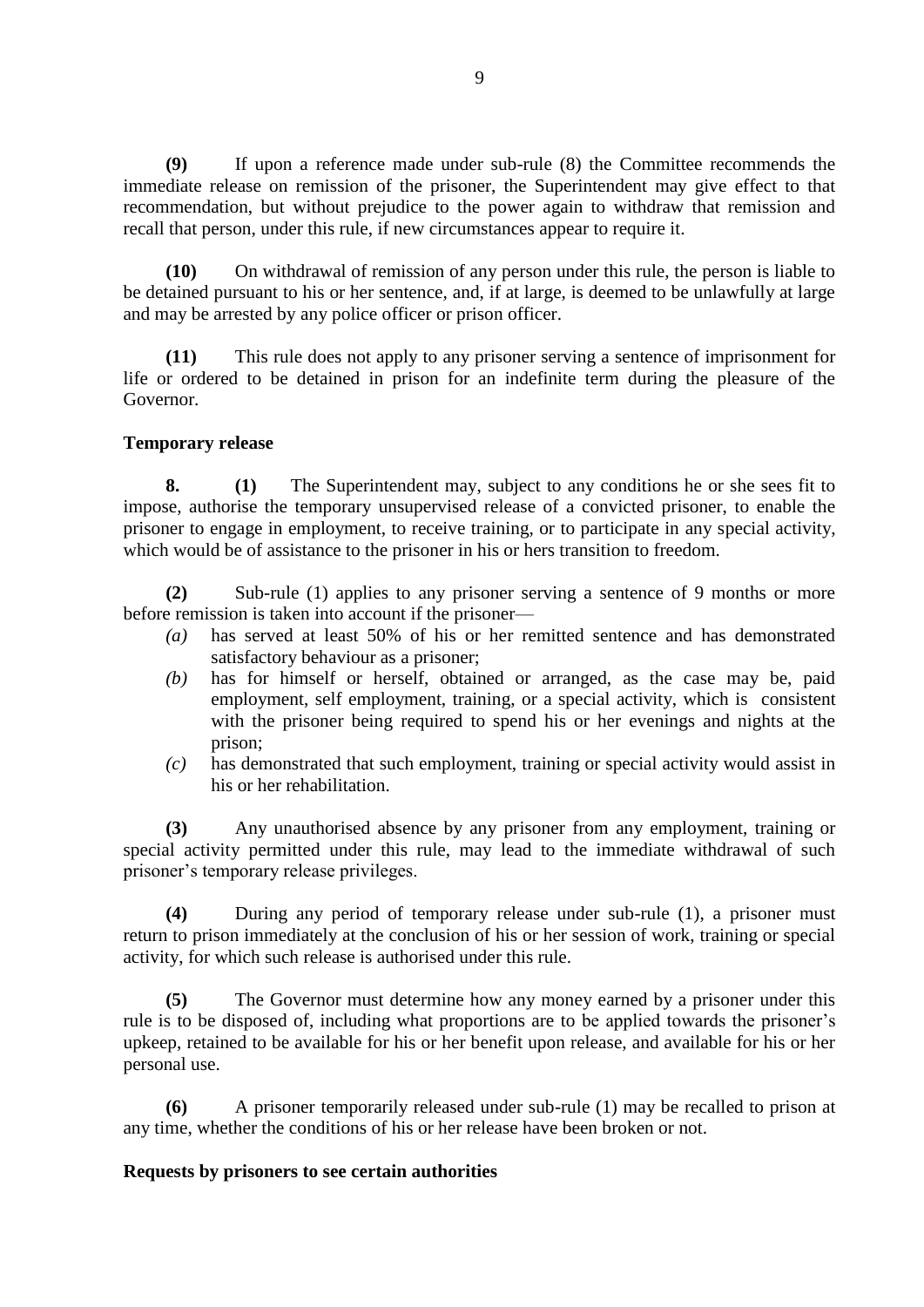**(9)** If upon a reference made under sub-rule (8) the Committee recommends the immediate release on remission of the prisoner, the Superintendent may give effect to that recommendation, but without prejudice to the power again to withdraw that remission and recall that person, under this rule, if new circumstances appear to require it.

**(10)** On withdrawal of remission of any person under this rule, the person is liable to be detained pursuant to his or her sentence, and, if at large, is deemed to be unlawfully at large and may be arrested by any police officer or prison officer.

**(11)** This rule does not apply to any prisoner serving a sentence of imprisonment for life or ordered to be detained in prison for an indefinite term during the pleasure of the Governor.

## **Temporary release**

**8. (1)** The Superintendent may, subject to any conditions he or she sees fit to impose, authorise the temporary unsupervised release of a convicted prisoner, to enable the prisoner to engage in employment, to receive training, or to participate in any special activity, which would be of assistance to the prisoner in his or hers transition to freedom.

**(2)** Sub-rule (1) applies to any prisoner serving a sentence of 9 months or more before remission is taken into account if the prisoner—

- *(a)* has served at least 50% of his or her remitted sentence and has demonstrated satisfactory behaviour as a prisoner;
- *(b)* has for himself or herself, obtained or arranged, as the case may be, paid employment, self employment, training, or a special activity, which is consistent with the prisoner being required to spend his or her evenings and nights at the prison;
- *(c)* has demonstrated that such employment, training or special activity would assist in his or her rehabilitation.

**(3)** Any unauthorised absence by any prisoner from any employment, training or special activity permitted under this rule, may lead to the immediate withdrawal of such prisoner's temporary release privileges.

**(4)** During any period of temporary release under sub-rule (1), a prisoner must return to prison immediately at the conclusion of his or her session of work, training or special activity, for which such release is authorised under this rule.

**(5)** The Governor must determine how any money earned by a prisoner under this rule is to be disposed of, including what proportions are to be applied towards the prisoner's upkeep, retained to be available for his or her benefit upon release, and available for his or her personal use.

**(6)** A prisoner temporarily released under sub-rule (1) may be recalled to prison at any time, whether the conditions of his or her release have been broken or not.

## **Requests by prisoners to see certain authorities**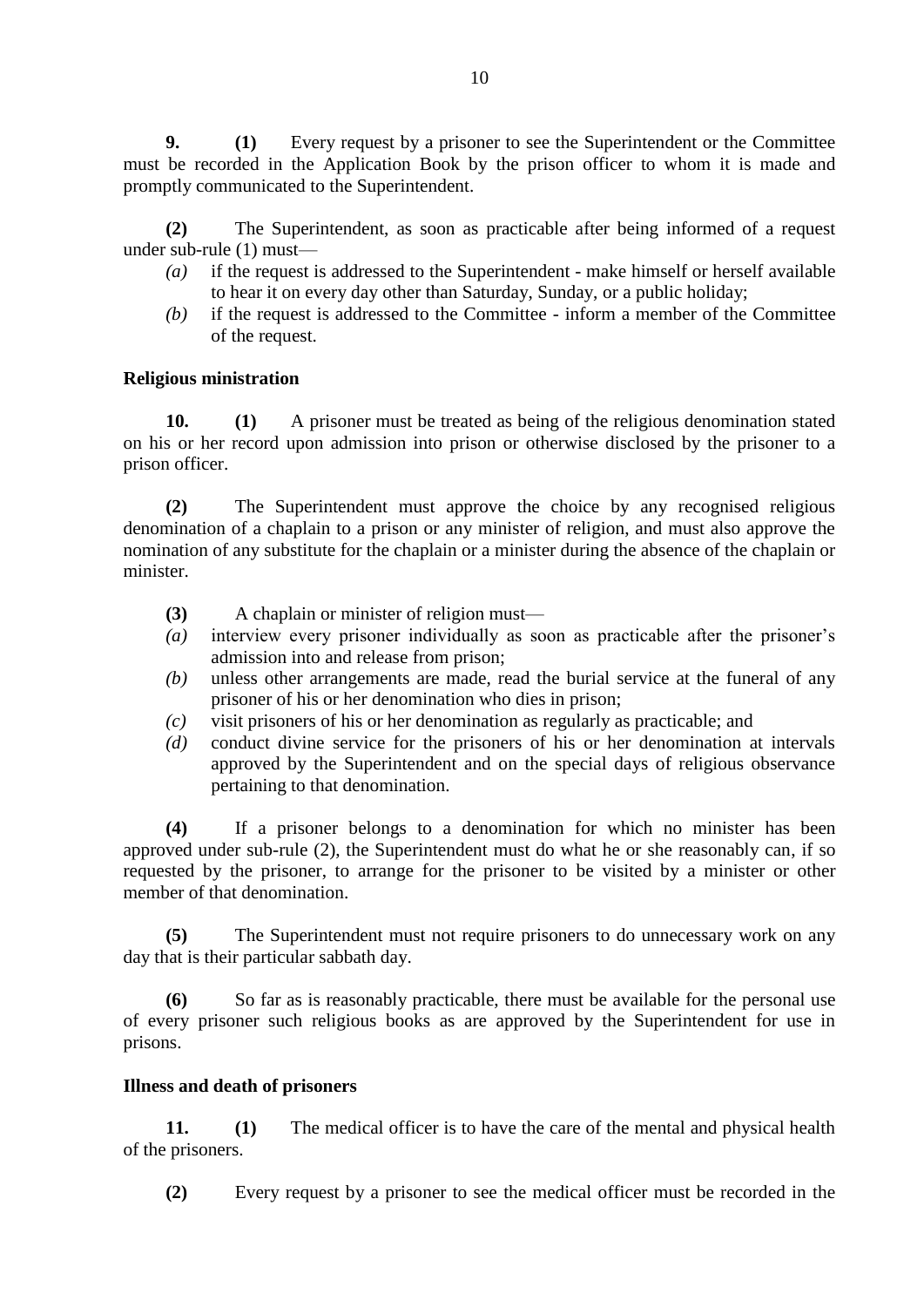**9. (1)** Every request by a prisoner to see the Superintendent or the Committee must be recorded in the Application Book by the prison officer to whom it is made and promptly communicated to the Superintendent.

**(2)** The Superintendent, as soon as practicable after being informed of a request under sub-rule (1) must—

- *(a)* if the request is addressed to the Superintendent make himself or herself available to hear it on every day other than Saturday, Sunday, or a public holiday;
- *(b)* if the request is addressed to the Committee inform a member of the Committee of the request.

## **Religious ministration**

**10. (1)** A prisoner must be treated as being of the religious denomination stated on his or her record upon admission into prison or otherwise disclosed by the prisoner to a prison officer.

**(2)** The Superintendent must approve the choice by any recognised religious denomination of a chaplain to a prison or any minister of religion, and must also approve the nomination of any substitute for the chaplain or a minister during the absence of the chaplain or minister.

- **(3)** A chaplain or minister of religion must—
- *(a)* interview every prisoner individually as soon as practicable after the prisoner's admission into and release from prison;
- *(b)* unless other arrangements are made, read the burial service at the funeral of any prisoner of his or her denomination who dies in prison;
- *(c)* visit prisoners of his or her denomination as regularly as practicable; and
- *(d)* conduct divine service for the prisoners of his or her denomination at intervals approved by the Superintendent and on the special days of religious observance pertaining to that denomination.

**(4)** If a prisoner belongs to a denomination for which no minister has been approved under sub-rule (2), the Superintendent must do what he or she reasonably can, if so requested by the prisoner, to arrange for the prisoner to be visited by a minister or other member of that denomination.

**(5)** The Superintendent must not require prisoners to do unnecessary work on any day that is their particular sabbath day.

**(6)** So far as is reasonably practicable, there must be available for the personal use of every prisoner such religious books as are approved by the Superintendent for use in prisons.

## **Illness and death of prisoners**

**11. (1)** The medical officer is to have the care of the mental and physical health of the prisoners.

**(2)** Every request by a prisoner to see the medical officer must be recorded in the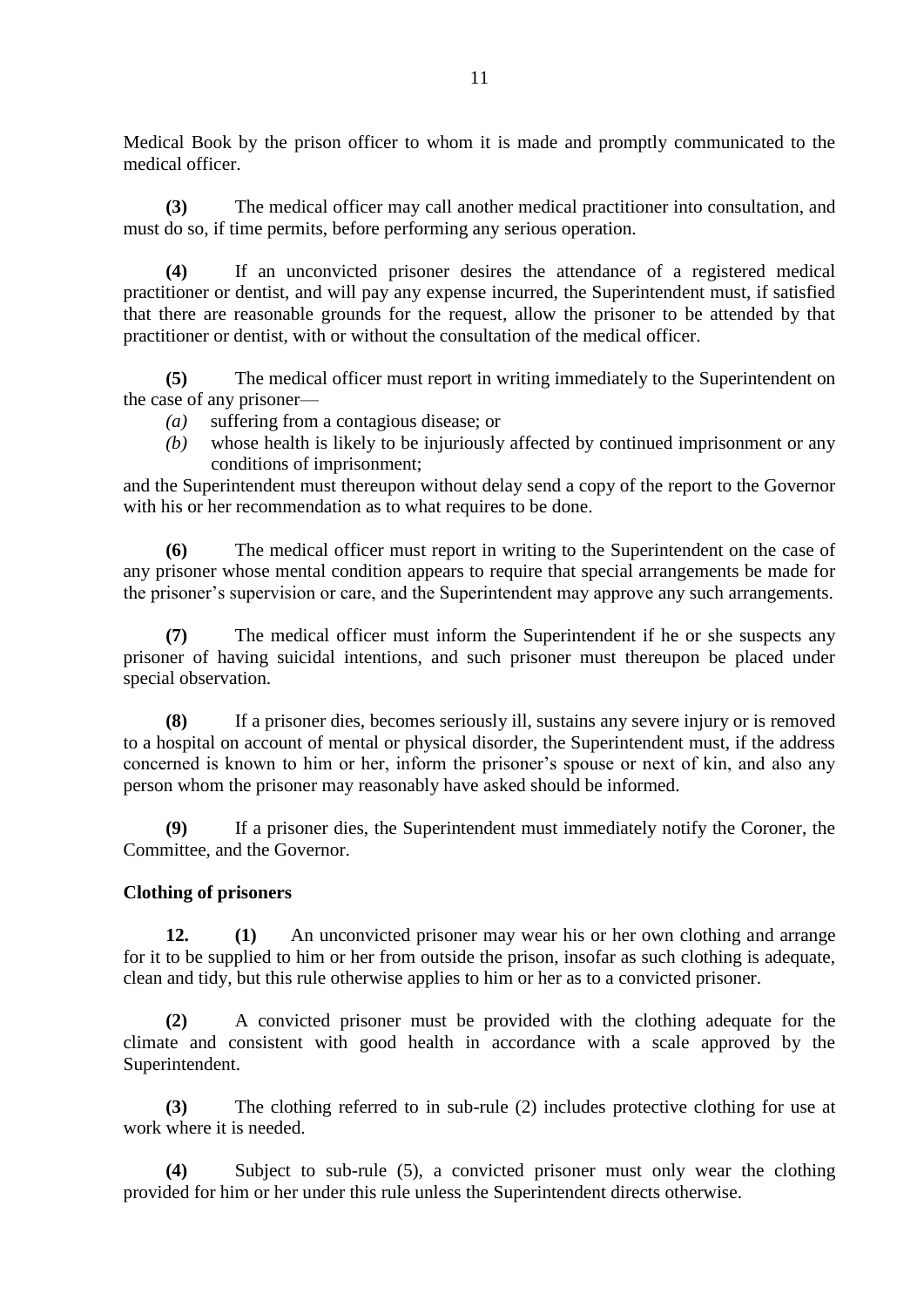Medical Book by the prison officer to whom it is made and promptly communicated to the medical officer.

**(3)** The medical officer may call another medical practitioner into consultation, and must do so, if time permits, before performing any serious operation.

**(4)** If an unconvicted prisoner desires the attendance of a registered medical practitioner or dentist, and will pay any expense incurred, the Superintendent must, if satisfied that there are reasonable grounds for the request, allow the prisoner to be attended by that practitioner or dentist, with or without the consultation of the medical officer.

**(5)** The medical officer must report in writing immediately to the Superintendent on the case of any prisoner—

- *(a)* suffering from a contagious disease; or
- *(b)* whose health is likely to be injuriously affected by continued imprisonment or any conditions of imprisonment;

and the Superintendent must thereupon without delay send a copy of the report to the Governor with his or her recommendation as to what requires to be done.

**(6)** The medical officer must report in writing to the Superintendent on the case of any prisoner whose mental condition appears to require that special arrangements be made for the prisoner's supervision or care, and the Superintendent may approve any such arrangements.

**(7)** The medical officer must inform the Superintendent if he or she suspects any prisoner of having suicidal intentions, and such prisoner must thereupon be placed under special observation.

**(8)** If a prisoner dies, becomes seriously ill, sustains any severe injury or is removed to a hospital on account of mental or physical disorder, the Superintendent must, if the address concerned is known to him or her, inform the prisoner's spouse or next of kin, and also any person whom the prisoner may reasonably have asked should be informed.

**(9)** If a prisoner dies, the Superintendent must immediately notify the Coroner, the Committee, and the Governor.

## **Clothing of prisoners**

**12. (1)** An unconvicted prisoner may wear his or her own clothing and arrange for it to be supplied to him or her from outside the prison, insofar as such clothing is adequate, clean and tidy, but this rule otherwise applies to him or her as to a convicted prisoner.

**(2)** A convicted prisoner must be provided with the clothing adequate for the climate and consistent with good health in accordance with a scale approved by the Superintendent.

**(3)** The clothing referred to in sub-rule (2) includes protective clothing for use at work where it is needed.

**(4)** Subject to sub-rule (5), a convicted prisoner must only wear the clothing provided for him or her under this rule unless the Superintendent directs otherwise.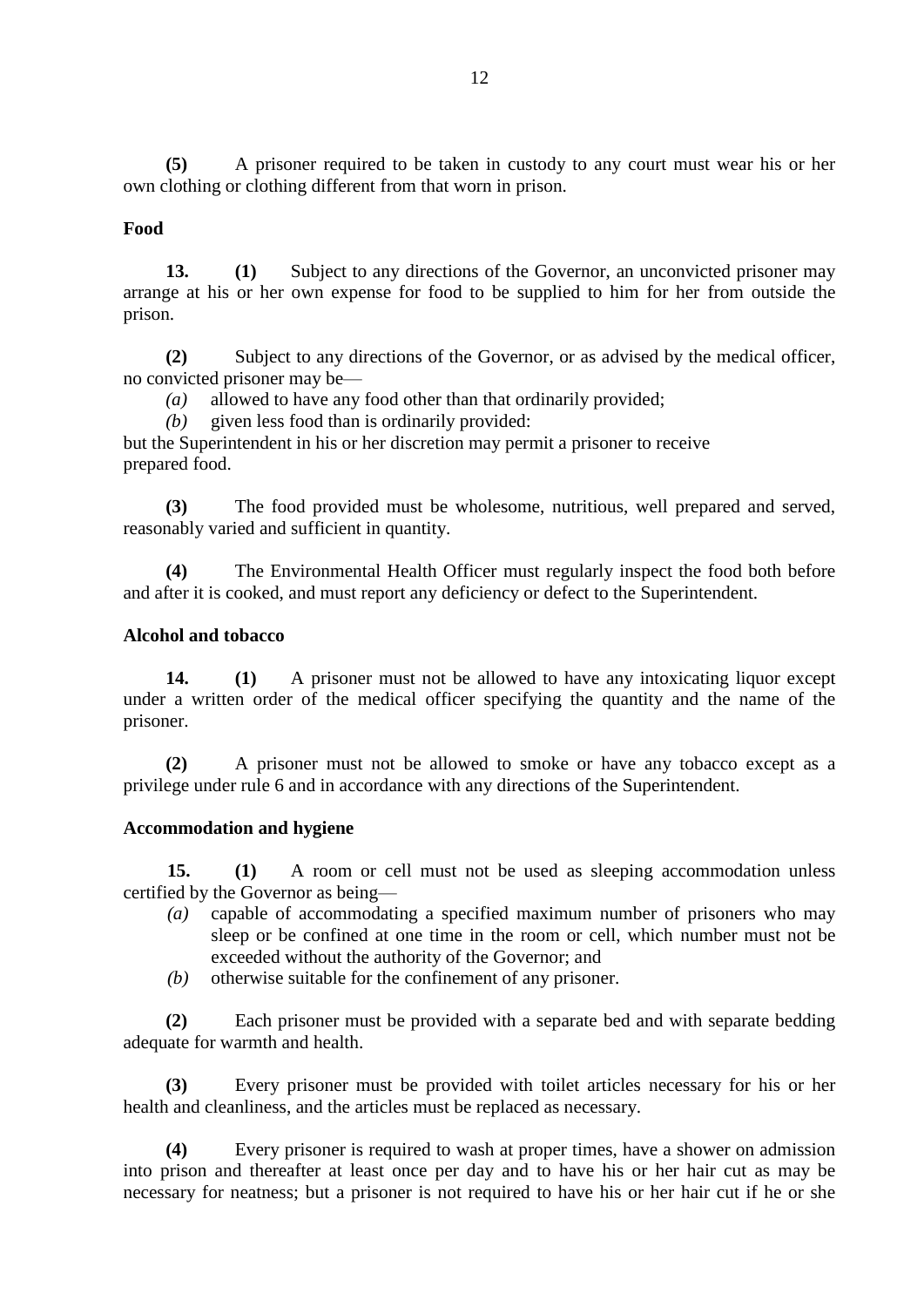**(5)** A prisoner required to be taken in custody to any court must wear his or her own clothing or clothing different from that worn in prison.

#### **Food**

**13. (1)** Subject to any directions of the Governor, an unconvicted prisoner may arrange at his or her own expense for food to be supplied to him for her from outside the prison.

**(2)** Subject to any directions of the Governor, or as advised by the medical officer, no convicted prisoner may be—

*(a)* allowed to have any food other than that ordinarily provided;

*(b)* given less food than is ordinarily provided:

but the Superintendent in his or her discretion may permit a prisoner to receive prepared food.

**(3)** The food provided must be wholesome, nutritious, well prepared and served, reasonably varied and sufficient in quantity.

**(4)** The Environmental Health Officer must regularly inspect the food both before and after it is cooked, and must report any deficiency or defect to the Superintendent.

## **Alcohol and tobacco**

**14. (1)** A prisoner must not be allowed to have any intoxicating liquor except under a written order of the medical officer specifying the quantity and the name of the prisoner.

**(2)** A prisoner must not be allowed to smoke or have any tobacco except as a privilege under rule 6 and in accordance with any directions of the Superintendent.

#### **Accommodation and hygiene**

**15. (1)** A room or cell must not be used as sleeping accommodation unless certified by the Governor as being—

- *(a)* capable of accommodating a specified maximum number of prisoners who may sleep or be confined at one time in the room or cell, which number must not be exceeded without the authority of the Governor; and
- *(b)* otherwise suitable for the confinement of any prisoner.

**(2)** Each prisoner must be provided with a separate bed and with separate bedding adequate for warmth and health.

**(3)** Every prisoner must be provided with toilet articles necessary for his or her health and cleanliness, and the articles must be replaced as necessary.

**(4)** Every prisoner is required to wash at proper times, have a shower on admission into prison and thereafter at least once per day and to have his or her hair cut as may be necessary for neatness; but a prisoner is not required to have his or her hair cut if he or she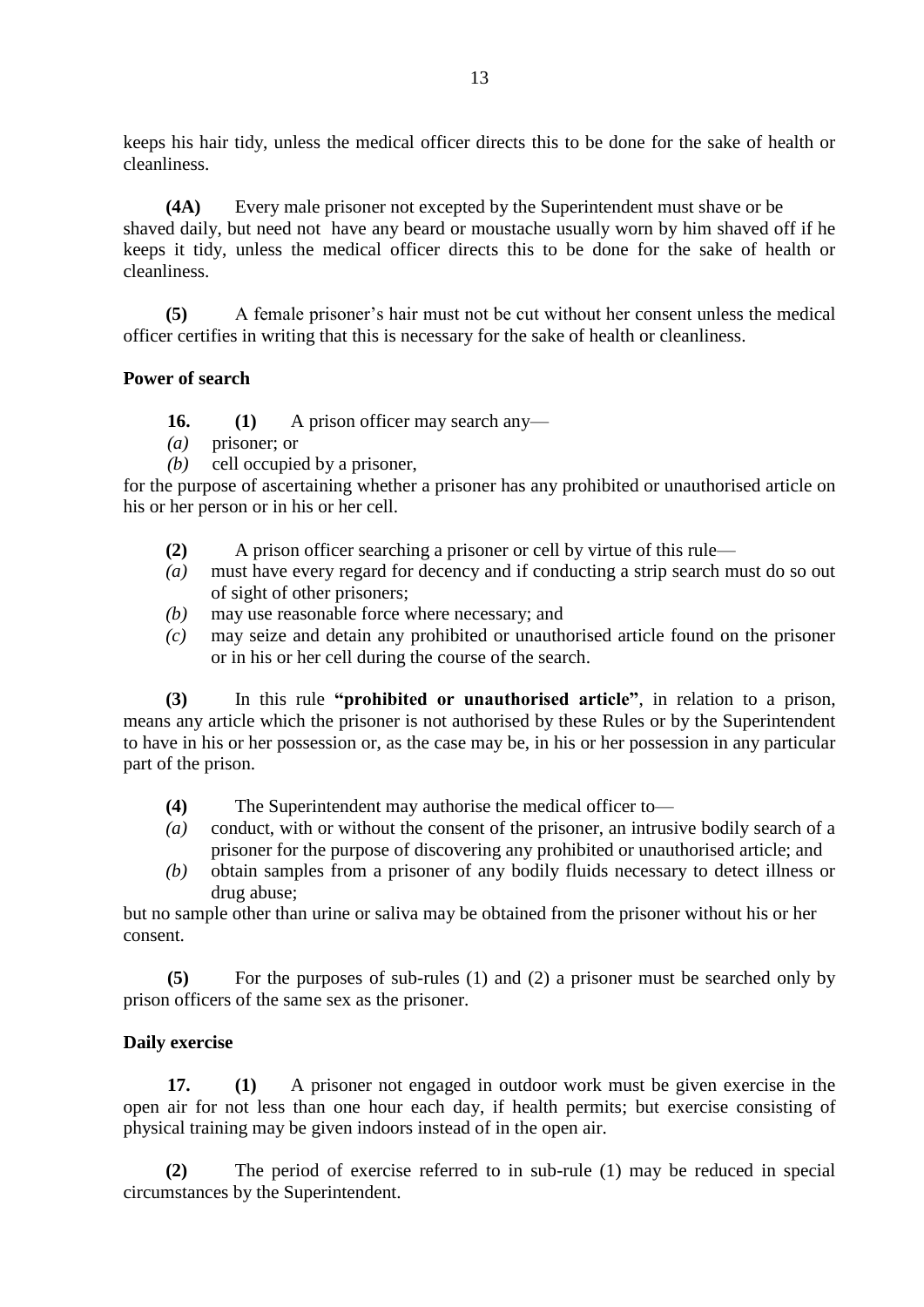keeps his hair tidy, unless the medical officer directs this to be done for the sake of health or cleanliness.

**(4A)** Every male prisoner not excepted by the Superintendent must shave or be shaved daily, but need not have any beard or moustache usually worn by him shaved off if he keeps it tidy, unless the medical officer directs this to be done for the sake of health or cleanliness.

**(5)** A female prisoner's hair must not be cut without her consent unless the medical officer certifies in writing that this is necessary for the sake of health or cleanliness.

## **Power of search**

**16. (1)** A prison officer may search any—

- *(a)* prisoner; or
- *(b)* cell occupied by a prisoner,

for the purpose of ascertaining whether a prisoner has any prohibited or unauthorised article on his or her person or in his or her cell.

- **(2)** A prison officer searching a prisoner or cell by virtue of this rule—
- *(a)* must have every regard for decency and if conducting a strip search must do so out of sight of other prisoners;
- *(b)* may use reasonable force where necessary; and
- *(c)* may seize and detain any prohibited or unauthorised article found on the prisoner or in his or her cell during the course of the search.

**(3)** In this rule **"prohibited or unauthorised article"**, in relation to a prison, means any article which the prisoner is not authorised by these Rules or by the Superintendent to have in his or her possession or, as the case may be, in his or her possession in any particular part of the prison.

- **(4)** The Superintendent may authorise the medical officer to—
- *(a)* conduct, with or without the consent of the prisoner, an intrusive bodily search of a prisoner for the purpose of discovering any prohibited or unauthorised article; and
- *(b)* obtain samples from a prisoner of any bodily fluids necessary to detect illness or drug abuse;

but no sample other than urine or saliva may be obtained from the prisoner without his or her consent.

**(5)** For the purposes of sub-rules (1) and (2) a prisoner must be searched only by prison officers of the same sex as the prisoner.

## **Daily exercise**

**17. (1)** A prisoner not engaged in outdoor work must be given exercise in the open air for not less than one hour each day, if health permits; but exercise consisting of physical training may be given indoors instead of in the open air.

**(2)** The period of exercise referred to in sub-rule (1) may be reduced in special circumstances by the Superintendent.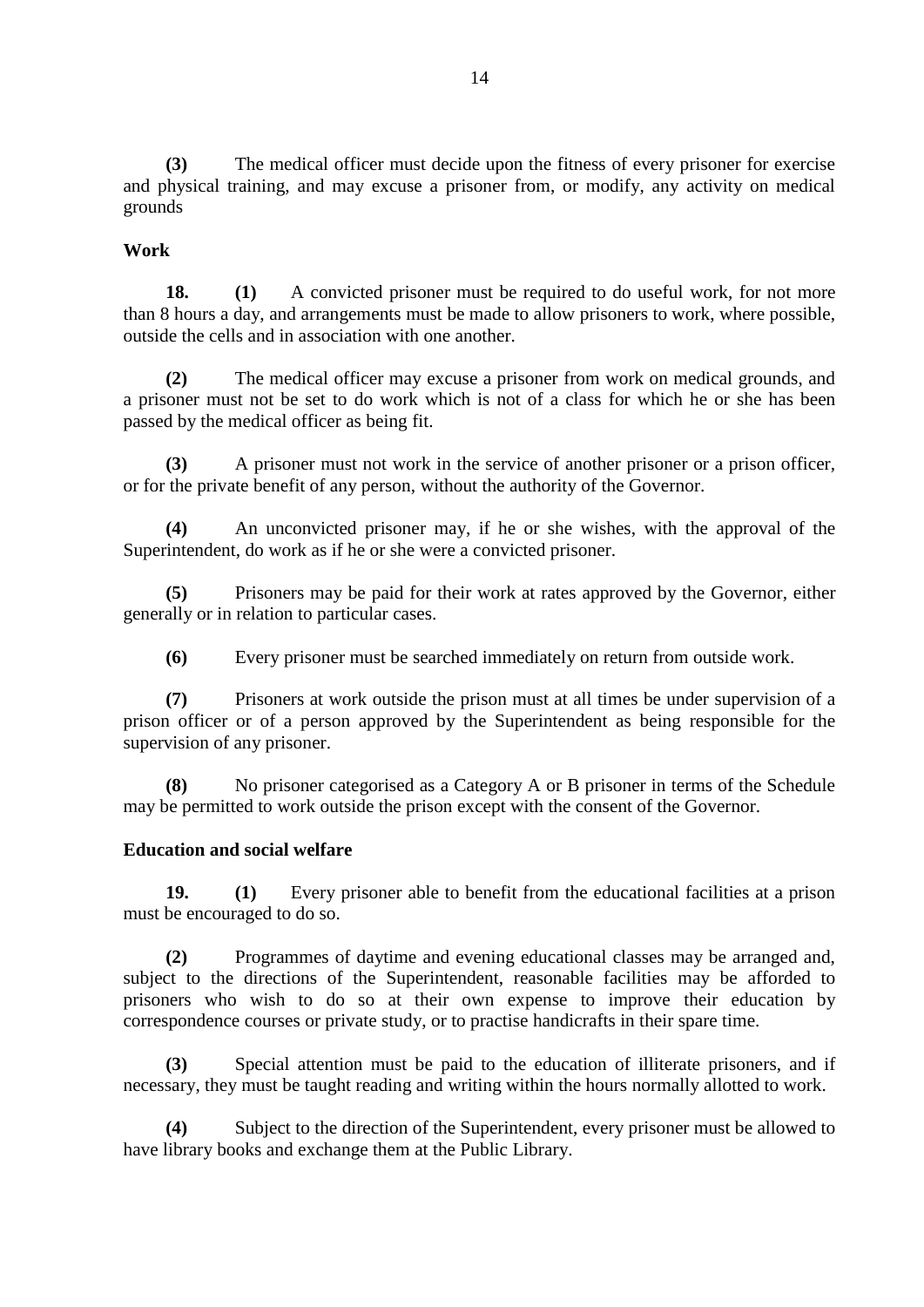**(3)** The medical officer must decide upon the fitness of every prisoner for exercise and physical training, and may excuse a prisoner from, or modify, any activity on medical grounds

#### **Work**

**18. (1)** A convicted prisoner must be required to do useful work, for not more than 8 hours a day, and arrangements must be made to allow prisoners to work, where possible, outside the cells and in association with one another.

**(2)** The medical officer may excuse a prisoner from work on medical grounds, and a prisoner must not be set to do work which is not of a class for which he or she has been passed by the medical officer as being fit.

**(3)** A prisoner must not work in the service of another prisoner or a prison officer, or for the private benefit of any person, without the authority of the Governor.

**(4)** An unconvicted prisoner may, if he or she wishes, with the approval of the Superintendent, do work as if he or she were a convicted prisoner.

**(5)** Prisoners may be paid for their work at rates approved by the Governor, either generally or in relation to particular cases.

**(6)** Every prisoner must be searched immediately on return from outside work.

**(7)** Prisoners at work outside the prison must at all times be under supervision of a prison officer or of a person approved by the Superintendent as being responsible for the supervision of any prisoner.

**(8)** No prisoner categorised as a Category A or B prisoner in terms of the Schedule may be permitted to work outside the prison except with the consent of the Governor.

#### **Education and social welfare**

**19. (1)** Every prisoner able to benefit from the educational facilities at a prison must be encouraged to do so.

**(2)** Programmes of daytime and evening educational classes may be arranged and, subject to the directions of the Superintendent, reasonable facilities may be afforded to prisoners who wish to do so at their own expense to improve their education by correspondence courses or private study, or to practise handicrafts in their spare time.

**(3)** Special attention must be paid to the education of illiterate prisoners, and if necessary, they must be taught reading and writing within the hours normally allotted to work.

**(4)** Subject to the direction of the Superintendent, every prisoner must be allowed to have library books and exchange them at the Public Library.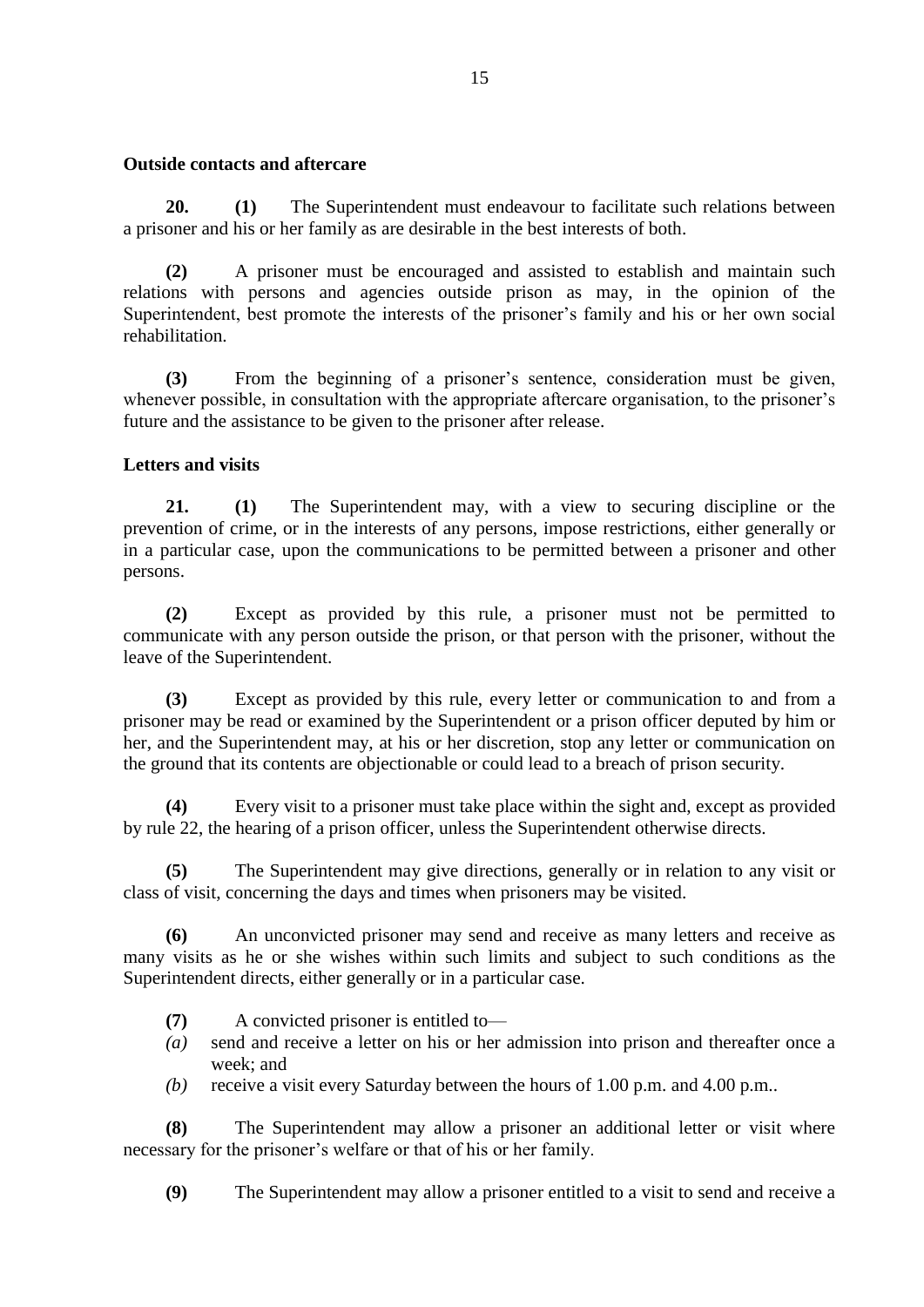#### **Outside contacts and aftercare**

**20. (1)** The Superintendent must endeavour to facilitate such relations between a prisoner and his or her family as are desirable in the best interests of both.

**(2)** A prisoner must be encouraged and assisted to establish and maintain such relations with persons and agencies outside prison as may, in the opinion of the Superintendent, best promote the interests of the prisoner's family and his or her own social rehabilitation.

**(3)** From the beginning of a prisoner's sentence, consideration must be given, whenever possible, in consultation with the appropriate aftercare organisation, to the prisoner's future and the assistance to be given to the prisoner after release.

## **Letters and visits**

**21. (1)** The Superintendent may, with a view to securing discipline or the prevention of crime, or in the interests of any persons, impose restrictions, either generally or in a particular case, upon the communications to be permitted between a prisoner and other persons.

**(2)** Except as provided by this rule, a prisoner must not be permitted to communicate with any person outside the prison, or that person with the prisoner, without the leave of the Superintendent.

**(3)** Except as provided by this rule, every letter or communication to and from a prisoner may be read or examined by the Superintendent or a prison officer deputed by him or her, and the Superintendent may, at his or her discretion, stop any letter or communication on the ground that its contents are objectionable or could lead to a breach of prison security.

**(4)** Every visit to a prisoner must take place within the sight and, except as provided by rule 22, the hearing of a prison officer, unless the Superintendent otherwise directs.

**(5)** The Superintendent may give directions, generally or in relation to any visit or class of visit, concerning the days and times when prisoners may be visited.

**(6)** An unconvicted prisoner may send and receive as many letters and receive as many visits as he or she wishes within such limits and subject to such conditions as the Superintendent directs, either generally or in a particular case.

- **(7)** A convicted prisoner is entitled to—
- *(a)* send and receive a letter on his or her admission into prison and thereafter once a week; and
- *(b)* receive a visit every Saturday between the hours of 1.00 p.m. and 4.00 p.m..

**(8)** The Superintendent may allow a prisoner an additional letter or visit where necessary for the prisoner's welfare or that of his or her family.

**(9)** The Superintendent may allow a prisoner entitled to a visit to send and receive a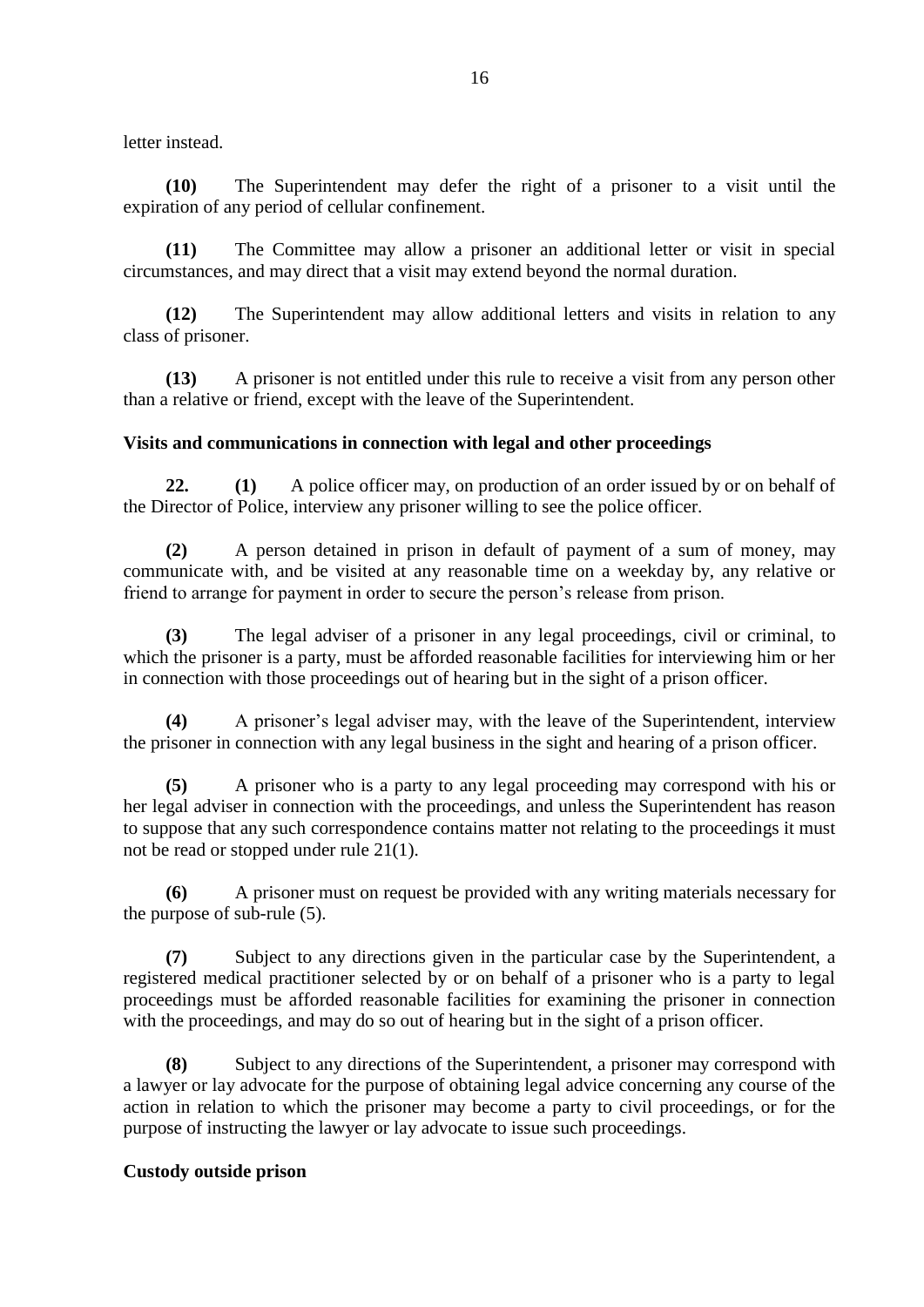letter instead.

**(10)** The Superintendent may defer the right of a prisoner to a visit until the expiration of any period of cellular confinement.

**(11)** The Committee may allow a prisoner an additional letter or visit in special circumstances, and may direct that a visit may extend beyond the normal duration.

**(12)** The Superintendent may allow additional letters and visits in relation to any class of prisoner.

**(13)** A prisoner is not entitled under this rule to receive a visit from any person other than a relative or friend, except with the leave of the Superintendent.

#### **Visits and communications in connection with legal and other proceedings**

**22. (1)** A police officer may, on production of an order issued by or on behalf of the Director of Police, interview any prisoner willing to see the police officer.

**(2)** A person detained in prison in default of payment of a sum of money, may communicate with, and be visited at any reasonable time on a weekday by, any relative or friend to arrange for payment in order to secure the person's release from prison.

**(3)** The legal adviser of a prisoner in any legal proceedings, civil or criminal, to which the prisoner is a party, must be afforded reasonable facilities for interviewing him or her in connection with those proceedings out of hearing but in the sight of a prison officer.

**(4)** A prisoner's legal adviser may, with the leave of the Superintendent, interview the prisoner in connection with any legal business in the sight and hearing of a prison officer.

**(5)** A prisoner who is a party to any legal proceeding may correspond with his or her legal adviser in connection with the proceedings, and unless the Superintendent has reason to suppose that any such correspondence contains matter not relating to the proceedings it must not be read or stopped under rule 21(1).

**(6)** A prisoner must on request be provided with any writing materials necessary for the purpose of sub-rule (5).

**(7)** Subject to any directions given in the particular case by the Superintendent, a registered medical practitioner selected by or on behalf of a prisoner who is a party to legal proceedings must be afforded reasonable facilities for examining the prisoner in connection with the proceedings, and may do so out of hearing but in the sight of a prison officer.

**(8)** Subject to any directions of the Superintendent, a prisoner may correspond with a lawyer or lay advocate for the purpose of obtaining legal advice concerning any course of the action in relation to which the prisoner may become a party to civil proceedings, or for the purpose of instructing the lawyer or lay advocate to issue such proceedings.

#### **Custody outside prison**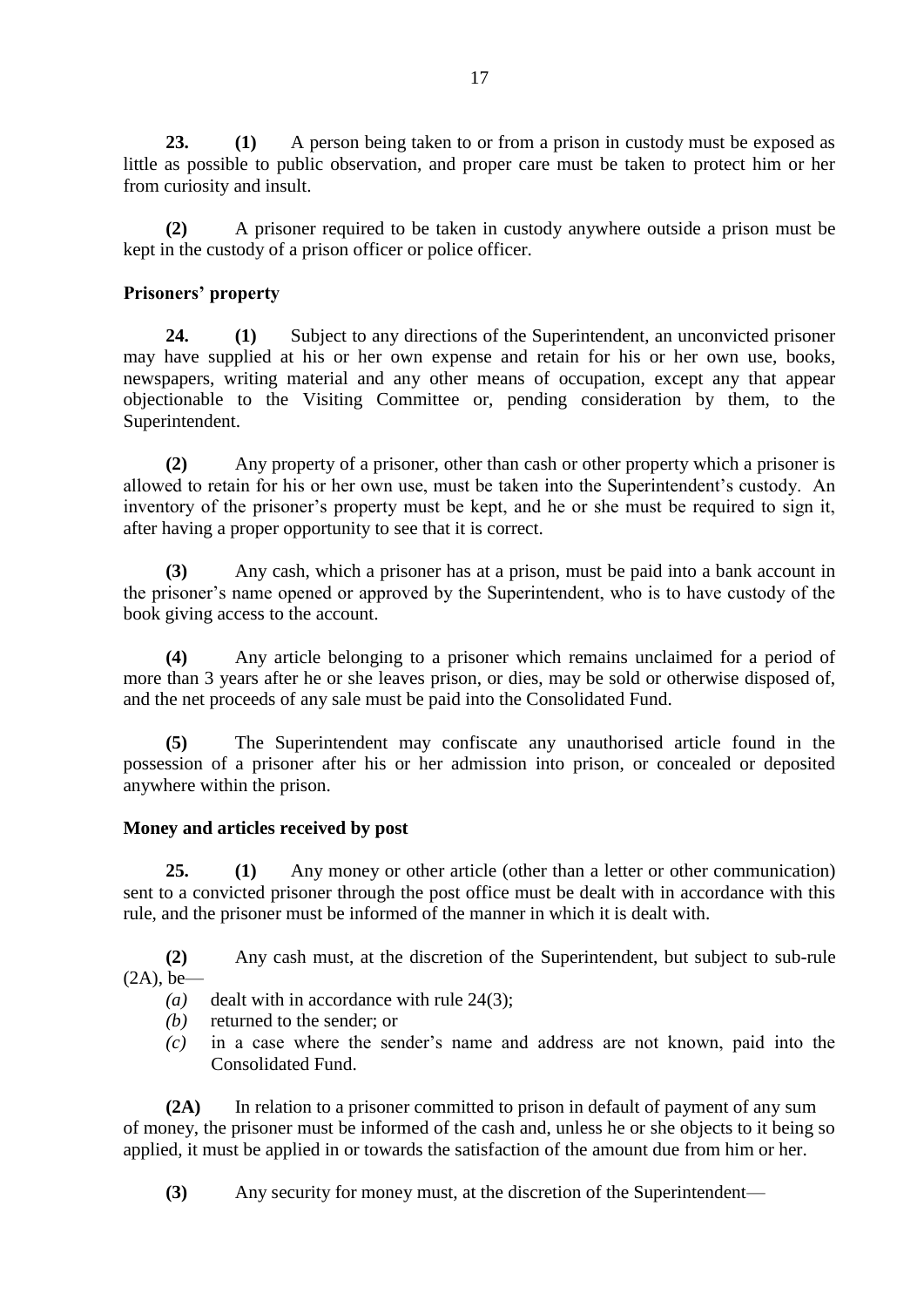**23. (1)** A person being taken to or from a prison in custody must be exposed as little as possible to public observation, and proper care must be taken to protect him or her from curiosity and insult.

**(2)** A prisoner required to be taken in custody anywhere outside a prison must be kept in the custody of a prison officer or police officer.

# **Prisoners' property**

**24. (1)** Subject to any directions of the Superintendent, an unconvicted prisoner may have supplied at his or her own expense and retain for his or her own use, books, newspapers, writing material and any other means of occupation, except any that appear objectionable to the Visiting Committee or, pending consideration by them, to the Superintendent.

**(2)** Any property of a prisoner, other than cash or other property which a prisoner is allowed to retain for his or her own use, must be taken into the Superintendent's custody. An inventory of the prisoner's property must be kept, and he or she must be required to sign it, after having a proper opportunity to see that it is correct.

**(3)** Any cash, which a prisoner has at a prison, must be paid into a bank account in the prisoner's name opened or approved by the Superintendent, who is to have custody of the book giving access to the account.

**(4)** Any article belonging to a prisoner which remains unclaimed for a period of more than 3 years after he or she leaves prison, or dies, may be sold or otherwise disposed of, and the net proceeds of any sale must be paid into the Consolidated Fund.

**(5)** The Superintendent may confiscate any unauthorised article found in the possession of a prisoner after his or her admission into prison, or concealed or deposited anywhere within the prison.

## **Money and articles received by post**

**25. (1)** Any money or other article (other than a letter or other communication) sent to a convicted prisoner through the post office must be dealt with in accordance with this rule, and the prisoner must be informed of the manner in which it is dealt with.

**(2)** Any cash must, at the discretion of the Superintendent, but subject to sub-rule  $(2A)$ , be—

- *(a)* dealt with in accordance with rule 24(3);
- *(b)* returned to the sender; or
- *(c)* in a case where the sender's name and address are not known, paid into the Consolidated Fund.

**(2A)** In relation to a prisoner committed to prison in default of payment of any sum of money, the prisoner must be informed of the cash and, unless he or she objects to it being so applied, it must be applied in or towards the satisfaction of the amount due from him or her.

**(3)** Any security for money must, at the discretion of the Superintendent—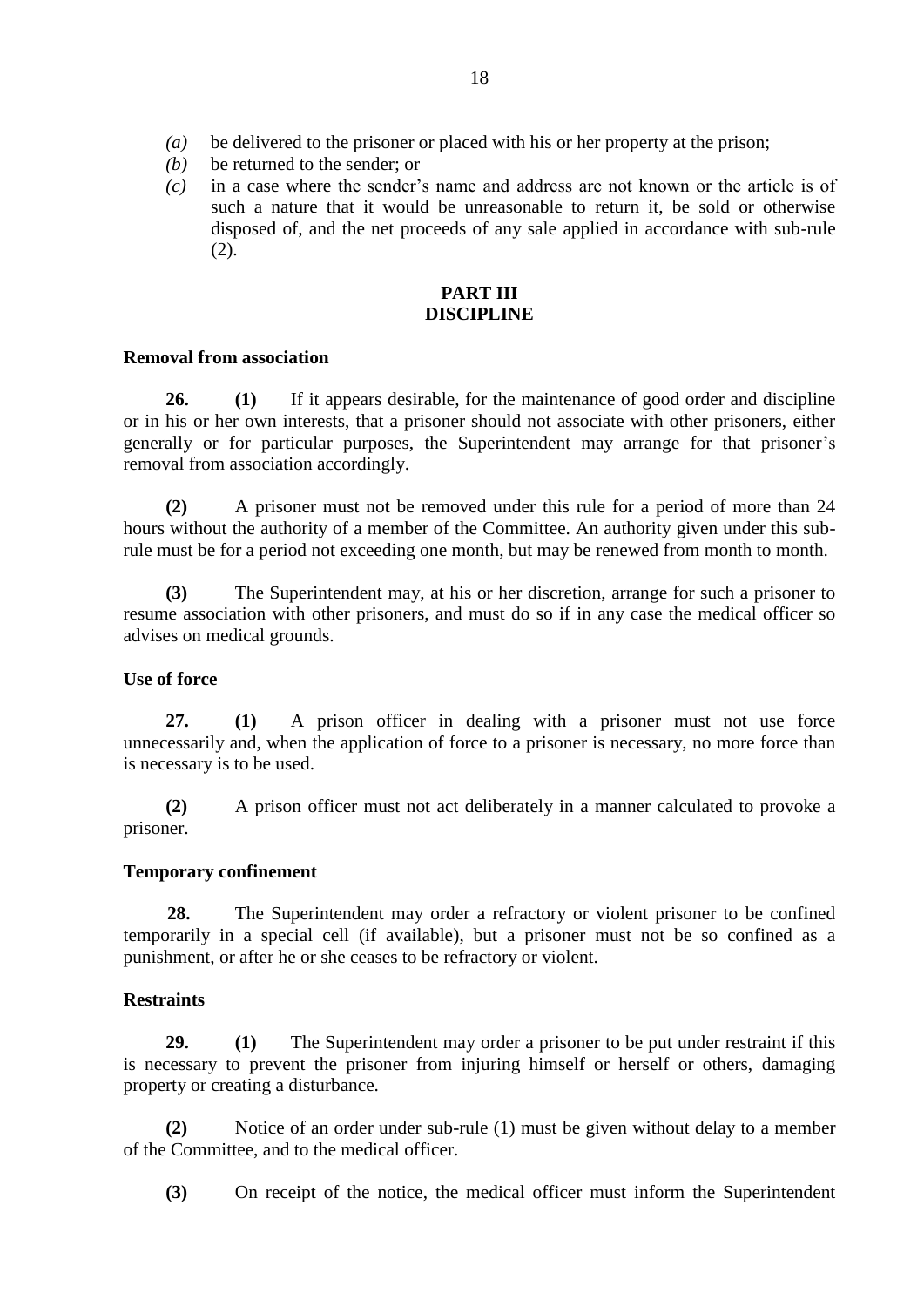- *(a)* be delivered to the prisoner or placed with his or her property at the prison;
- *(b)* be returned to the sender; or
- *(c)* in a case where the sender's name and address are not known or the article is of such a nature that it would be unreasonable to return it, be sold or otherwise disposed of, and the net proceeds of any sale applied in accordance with sub-rule (2).

#### **PART III DISCIPLINE**

#### **Removal from association**

**26. (1)** If it appears desirable, for the maintenance of good order and discipline or in his or her own interests, that a prisoner should not associate with other prisoners, either generally or for particular purposes, the Superintendent may arrange for that prisoner's removal from association accordingly.

**(2)** A prisoner must not be removed under this rule for a period of more than 24 hours without the authority of a member of the Committee. An authority given under this subrule must be for a period not exceeding one month, but may be renewed from month to month.

**(3)** The Superintendent may, at his or her discretion, arrange for such a prisoner to resume association with other prisoners, and must do so if in any case the medical officer so advises on medical grounds.

## **Use of force**

**27. (1)** A prison officer in dealing with a prisoner must not use force unnecessarily and, when the application of force to a prisoner is necessary, no more force than is necessary is to be used.

**(2)** A prison officer must not act deliberately in a manner calculated to provoke a prisoner.

## **Temporary confinement**

**28.** The Superintendent may order a refractory or violent prisoner to be confined temporarily in a special cell (if available), but a prisoner must not be so confined as a punishment, or after he or she ceases to be refractory or violent.

## **Restraints**

**29. (1)** The Superintendent may order a prisoner to be put under restraint if this is necessary to prevent the prisoner from injuring himself or herself or others, damaging property or creating a disturbance.

**(2)** Notice of an order under sub-rule (1) must be given without delay to a member of the Committee, and to the medical officer.

**(3)** On receipt of the notice, the medical officer must inform the Superintendent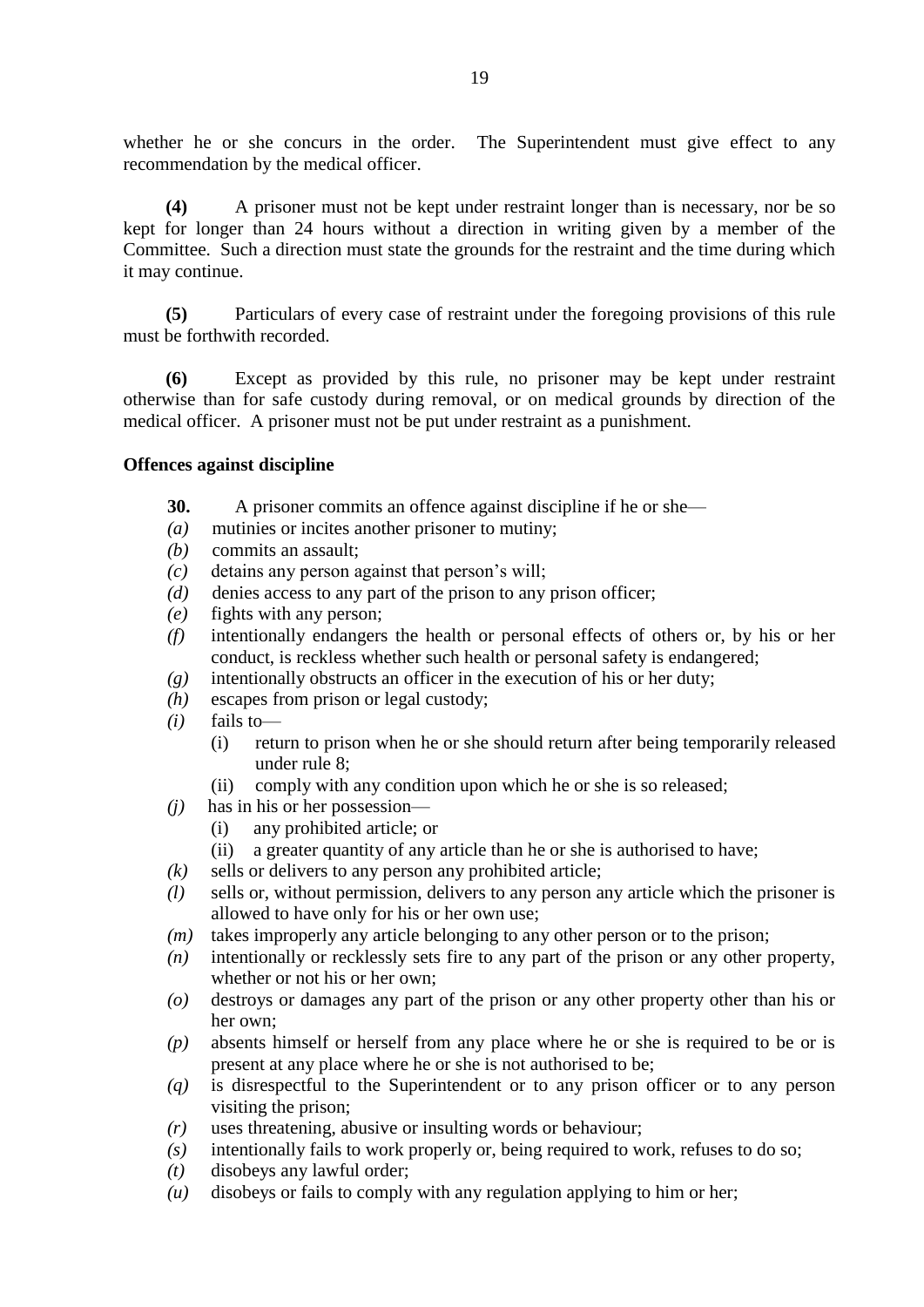whether he or she concurs in the order. The Superintendent must give effect to any recommendation by the medical officer.

**(4)** A prisoner must not be kept under restraint longer than is necessary, nor be so kept for longer than 24 hours without a direction in writing given by a member of the Committee. Such a direction must state the grounds for the restraint and the time during which it may continue.

**(5)** Particulars of every case of restraint under the foregoing provisions of this rule must be forthwith recorded.

**(6)** Except as provided by this rule, no prisoner may be kept under restraint otherwise than for safe custody during removal, or on medical grounds by direction of the medical officer. A prisoner must not be put under restraint as a punishment.

#### **Offences against discipline**

- **30.** A prisoner commits an offence against discipline if he or she—
- *(a)* mutinies or incites another prisoner to mutiny;
- *(b)* commits an assault;
- *(c)* detains any person against that person's will;
- *(d)* denies access to any part of the prison to any prison officer;
- *(e)* fights with any person;
- *(f)* intentionally endangers the health or personal effects of others or, by his or her conduct, is reckless whether such health or personal safety is endangered;
- *(g)* intentionally obstructs an officer in the execution of his or her duty;
- *(h)* escapes from prison or legal custody;
- *(i)* fails to—
	- (i) return to prison when he or she should return after being temporarily released under rule 8;
	- (ii) comply with any condition upon which he or she is so released;
- *(j)* has in his or her possession—
	- (i) any prohibited article; or
	- (ii) a greater quantity of any article than he or she is authorised to have;
- *(k)* sells or delivers to any person any prohibited article;
- *(l)* sells or, without permission, delivers to any person any article which the prisoner is allowed to have only for his or her own use;
- *(m)* takes improperly any article belonging to any other person or to the prison;
- *(n)* intentionally or recklessly sets fire to any part of the prison or any other property, whether or not his or her own;
- *(o)* destroys or damages any part of the prison or any other property other than his or her own;
- *(p)* absents himself or herself from any place where he or she is required to be or is present at any place where he or she is not authorised to be;
- *(q)* is disrespectful to the Superintendent or to any prison officer or to any person visiting the prison;
- *(r)* uses threatening, abusive or insulting words or behaviour;
- *(s)* intentionally fails to work properly or, being required to work, refuses to do so;
- *(t)* disobeys any lawful order;
- *(u)* disobeys or fails to comply with any regulation applying to him or her;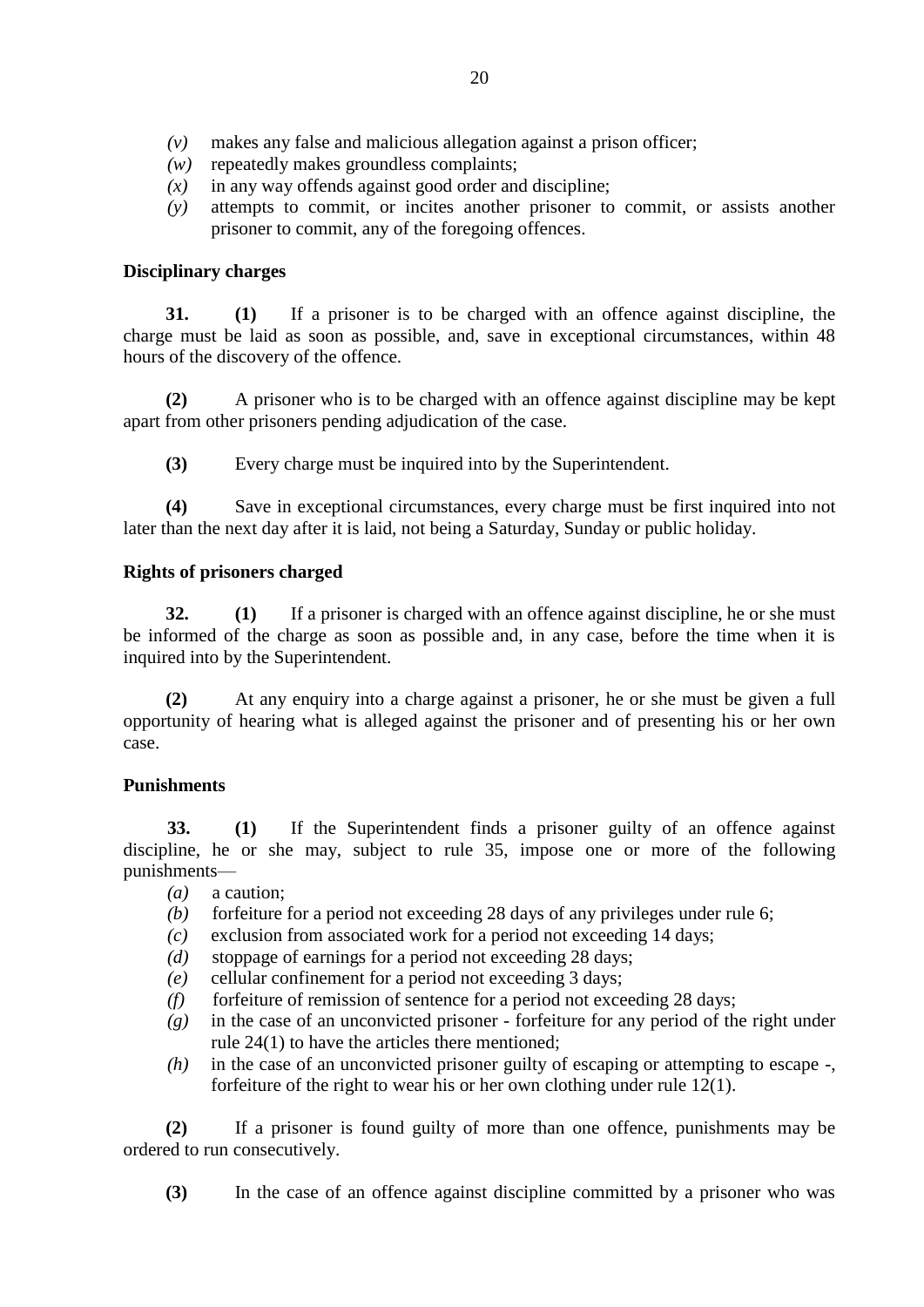- *(v)* makes any false and malicious allegation against a prison officer;
- *(w)* repeatedly makes groundless complaints;
- *(x)* in any way offends against good order and discipline;
- *(y)* attempts to commit, or incites another prisoner to commit, or assists another prisoner to commit, any of the foregoing offences.

## **Disciplinary charges**

**31. (1)** If a prisoner is to be charged with an offence against discipline, the charge must be laid as soon as possible, and, save in exceptional circumstances, within 48 hours of the discovery of the offence.

**(2)** A prisoner who is to be charged with an offence against discipline may be kept apart from other prisoners pending adjudication of the case.

**(3)** Every charge must be inquired into by the Superintendent.

**(4)** Save in exceptional circumstances, every charge must be first inquired into not later than the next day after it is laid, not being a Saturday, Sunday or public holiday.

## **Rights of prisoners charged**

**32. (1)** If a prisoner is charged with an offence against discipline, he or she must be informed of the charge as soon as possible and, in any case, before the time when it is inquired into by the Superintendent.

**(2)** At any enquiry into a charge against a prisoner, he or she must be given a full opportunity of hearing what is alleged against the prisoner and of presenting his or her own case.

## **Punishments**

**33. (1)** If the Superintendent finds a prisoner guilty of an offence against discipline, he or she may, subject to rule 35, impose one or more of the following punishments—

- *(a)* a caution;
- *(b)* forfeiture for a period not exceeding 28 days of any privileges under rule 6;
- *(c)* exclusion from associated work for a period not exceeding 14 days;
- *(d)* stoppage of earnings for a period not exceeding 28 days;
- *(e)* cellular confinement for a period not exceeding 3 days;
- *(f)* forfeiture of remission of sentence for a period not exceeding 28 days;
- *(g)* in the case of an unconvicted prisoner forfeiture for any period of the right under rule 24(1) to have the articles there mentioned;
- *(h)* in the case of an unconvicted prisoner guilty of escaping or attempting to escape -, forfeiture of the right to wear his or her own clothing under rule 12(1).

**(2)** If a prisoner is found guilty of more than one offence, punishments may be ordered to run consecutively.

**(3)** In the case of an offence against discipline committed by a prisoner who was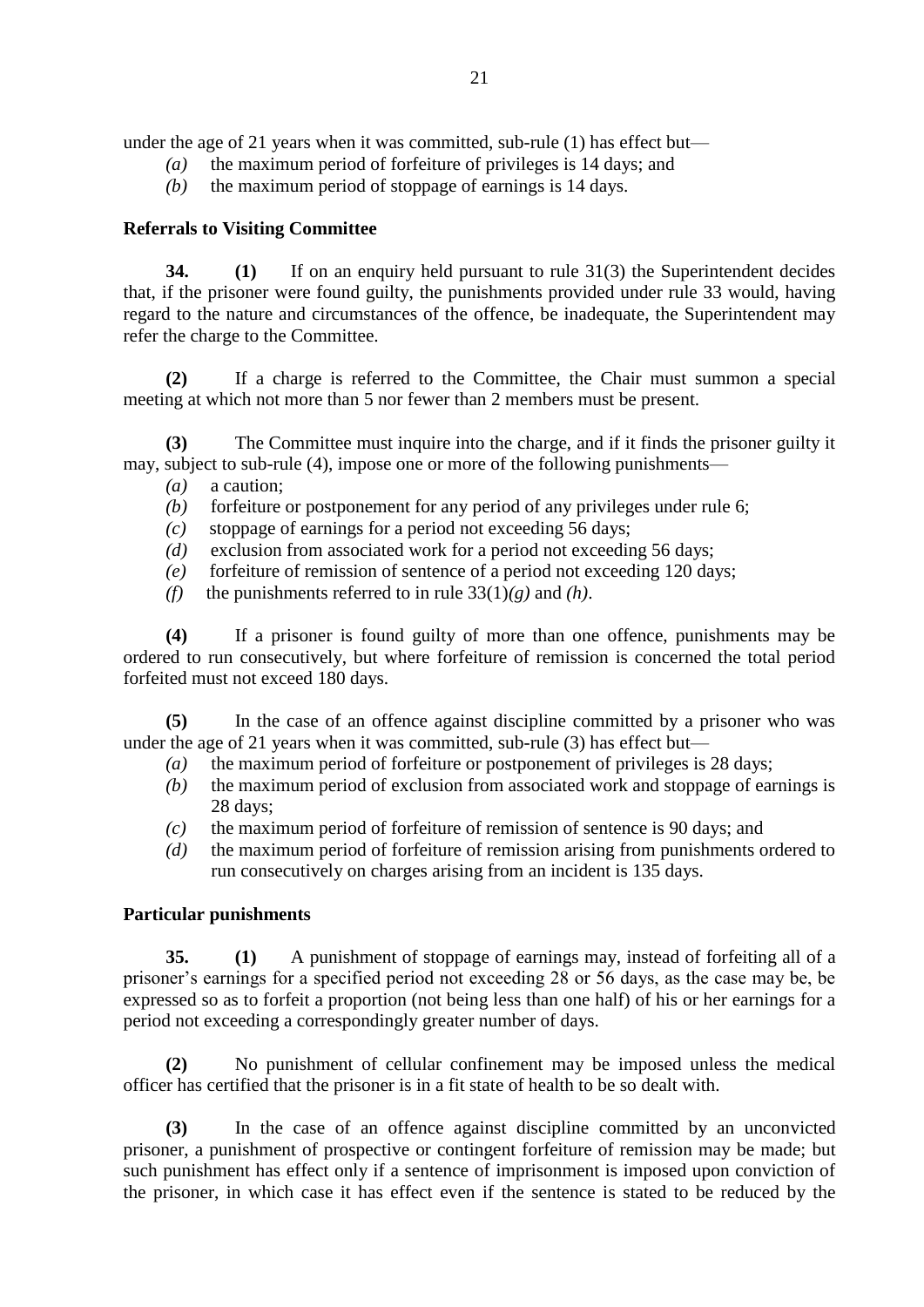under the age of 21 years when it was committed, sub-rule (1) has effect but—

- *(a)* the maximum period of forfeiture of privileges is 14 days; and
- *(b)* the maximum period of stoppage of earnings is 14 days.

## **Referrals to Visiting Committee**

**34. (1)** If on an enquiry held pursuant to rule 31(3) the Superintendent decides that, if the prisoner were found guilty, the punishments provided under rule 33 would, having regard to the nature and circumstances of the offence, be inadequate, the Superintendent may refer the charge to the Committee.

**(2)** If a charge is referred to the Committee, the Chair must summon a special meeting at which not more than 5 nor fewer than 2 members must be present.

**(3)** The Committee must inquire into the charge, and if it finds the prisoner guilty it may, subject to sub-rule (4), impose one or more of the following punishments—

- *(a)* a caution;
- *(b)* forfeiture or postponement for any period of any privileges under rule 6;
- *(c)* stoppage of earnings for a period not exceeding 56 days;
- *(d)* exclusion from associated work for a period not exceeding 56 days;
- *(e)* forfeiture of remission of sentence of a period not exceeding 120 days;
- *(f)* the punishments referred to in rule  $33(1)(g)$  and *(h)*.

**(4)** If a prisoner is found guilty of more than one offence, punishments may be ordered to run consecutively, but where forfeiture of remission is concerned the total period forfeited must not exceed 180 days.

**(5)** In the case of an offence against discipline committed by a prisoner who was under the age of 21 years when it was committed, sub-rule (3) has effect but—

- *(a)* the maximum period of forfeiture or postponement of privileges is 28 days;
- *(b)* the maximum period of exclusion from associated work and stoppage of earnings is 28 days;
- *(c)* the maximum period of forfeiture of remission of sentence is 90 days; and
- *(d)* the maximum period of forfeiture of remission arising from punishments ordered to run consecutively on charges arising from an incident is 135 days.

## **Particular punishments**

**35. (1)** A punishment of stoppage of earnings may, instead of forfeiting all of a prisoner's earnings for a specified period not exceeding 28 or 56 days, as the case may be, be expressed so as to forfeit a proportion (not being less than one half) of his or her earnings for a period not exceeding a correspondingly greater number of days.

**(2)** No punishment of cellular confinement may be imposed unless the medical officer has certified that the prisoner is in a fit state of health to be so dealt with.

**(3)** In the case of an offence against discipline committed by an unconvicted prisoner, a punishment of prospective or contingent forfeiture of remission may be made; but such punishment has effect only if a sentence of imprisonment is imposed upon conviction of the prisoner, in which case it has effect even if the sentence is stated to be reduced by the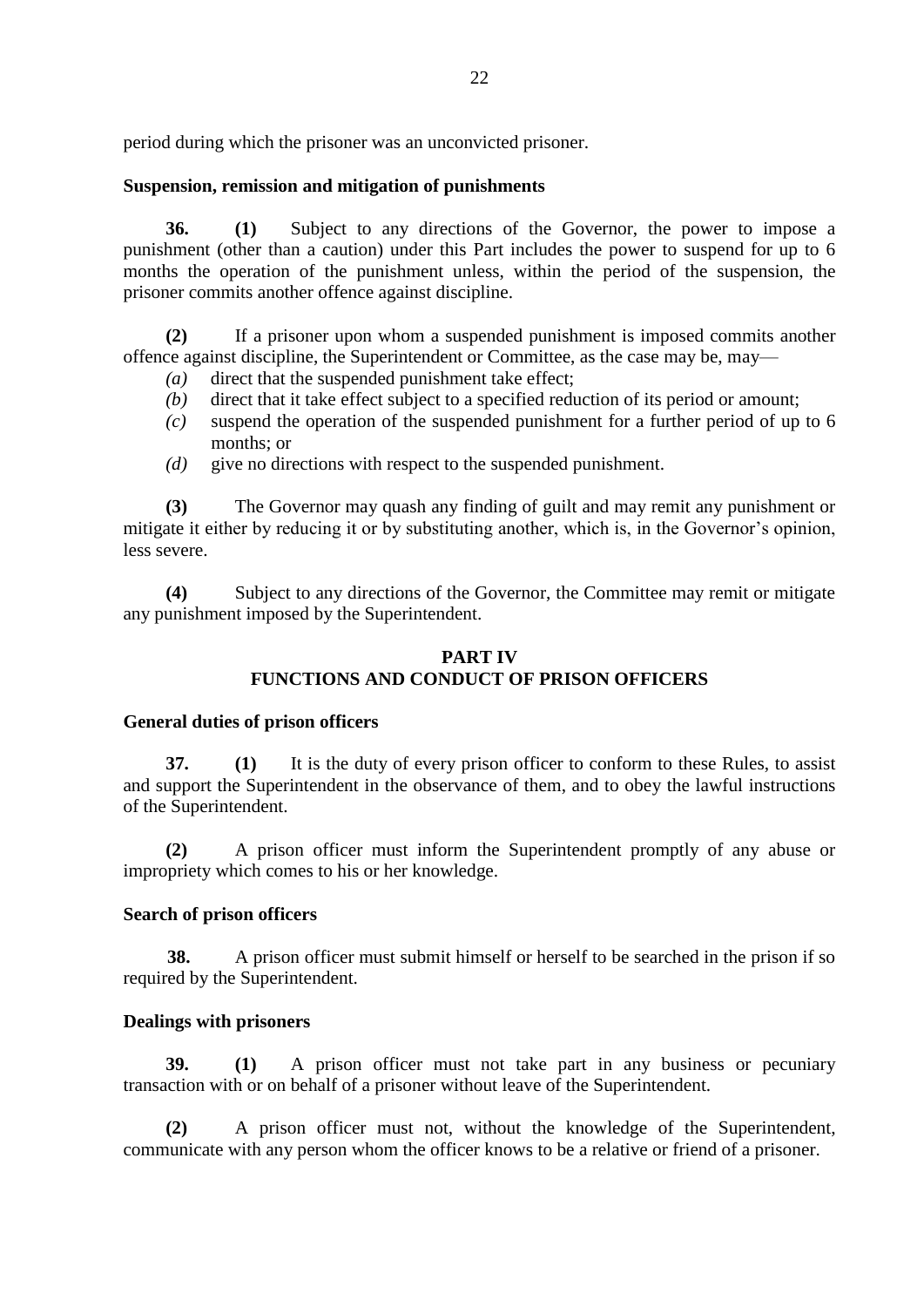period during which the prisoner was an unconvicted prisoner.

# **Suspension, remission and mitigation of punishments**

**36. (1)** Subject to any directions of the Governor, the power to impose a punishment (other than a caution) under this Part includes the power to suspend for up to 6 months the operation of the punishment unless, within the period of the suspension, the prisoner commits another offence against discipline.

**(2)** If a prisoner upon whom a suspended punishment is imposed commits another offence against discipline, the Superintendent or Committee, as the case may be, may—

- *(a)* direct that the suspended punishment take effect;
- *(b)* direct that it take effect subject to a specified reduction of its period or amount;
- *(c)* suspend the operation of the suspended punishment for a further period of up to 6 months; or
- *(d)* give no directions with respect to the suspended punishment.

**(3)** The Governor may quash any finding of guilt and may remit any punishment or mitigate it either by reducing it or by substituting another, which is, in the Governor's opinion, less severe.

**(4)** Subject to any directions of the Governor, the Committee may remit or mitigate any punishment imposed by the Superintendent.

# **PART IV FUNCTIONS AND CONDUCT OF PRISON OFFICERS**

## **General duties of prison officers**

**37. (1)** It is the duty of every prison officer to conform to these Rules, to assist and support the Superintendent in the observance of them, and to obey the lawful instructions of the Superintendent.

**(2)** A prison officer must inform the Superintendent promptly of any abuse or impropriety which comes to his or her knowledge.

## **Search of prison officers**

**38.** A prison officer must submit himself or herself to be searched in the prison if so required by the Superintendent.

## **Dealings with prisoners**

**39. (1)** A prison officer must not take part in any business or pecuniary transaction with or on behalf of a prisoner without leave of the Superintendent.

**(2)** A prison officer must not, without the knowledge of the Superintendent, communicate with any person whom the officer knows to be a relative or friend of a prisoner.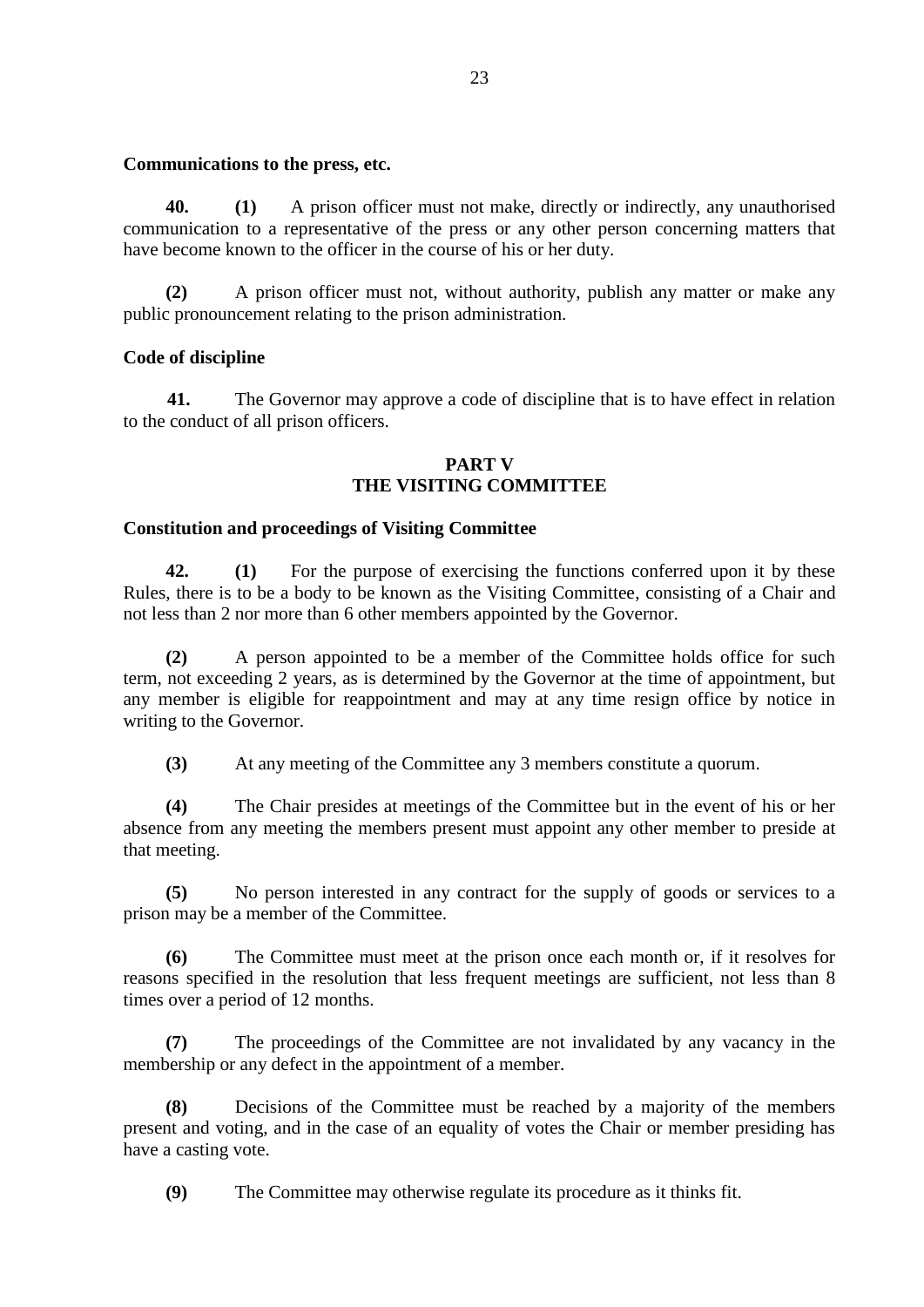#### **Communications to the press, etc.**

**40. (1)** A prison officer must not make, directly or indirectly, any unauthorised communication to a representative of the press or any other person concerning matters that have become known to the officer in the course of his or her duty.

**(2)** A prison officer must not, without authority, publish any matter or make any public pronouncement relating to the prison administration.

# **Code of discipline**

**41.** The Governor may approve a code of discipline that is to have effect in relation to the conduct of all prison officers.

## **PART V THE VISITING COMMITTEE**

## **Constitution and proceedings of Visiting Committee**

**42. (1)** For the purpose of exercising the functions conferred upon it by these Rules, there is to be a body to be known as the Visiting Committee, consisting of a Chair and not less than 2 nor more than 6 other members appointed by the Governor.

**(2)** A person appointed to be a member of the Committee holds office for such term, not exceeding 2 years, as is determined by the Governor at the time of appointment, but any member is eligible for reappointment and may at any time resign office by notice in writing to the Governor.

**(3)** At any meeting of the Committee any 3 members constitute a quorum.

**(4)** The Chair presides at meetings of the Committee but in the event of his or her absence from any meeting the members present must appoint any other member to preside at that meeting.

**(5)** No person interested in any contract for the supply of goods or services to a prison may be a member of the Committee.

**(6)** The Committee must meet at the prison once each month or, if it resolves for reasons specified in the resolution that less frequent meetings are sufficient, not less than 8 times over a period of 12 months.

**(7)** The proceedings of the Committee are not invalidated by any vacancy in the membership or any defect in the appointment of a member.

**(8)** Decisions of the Committee must be reached by a majority of the members present and voting, and in the case of an equality of votes the Chair or member presiding has have a casting vote.

**(9)** The Committee may otherwise regulate its procedure as it thinks fit.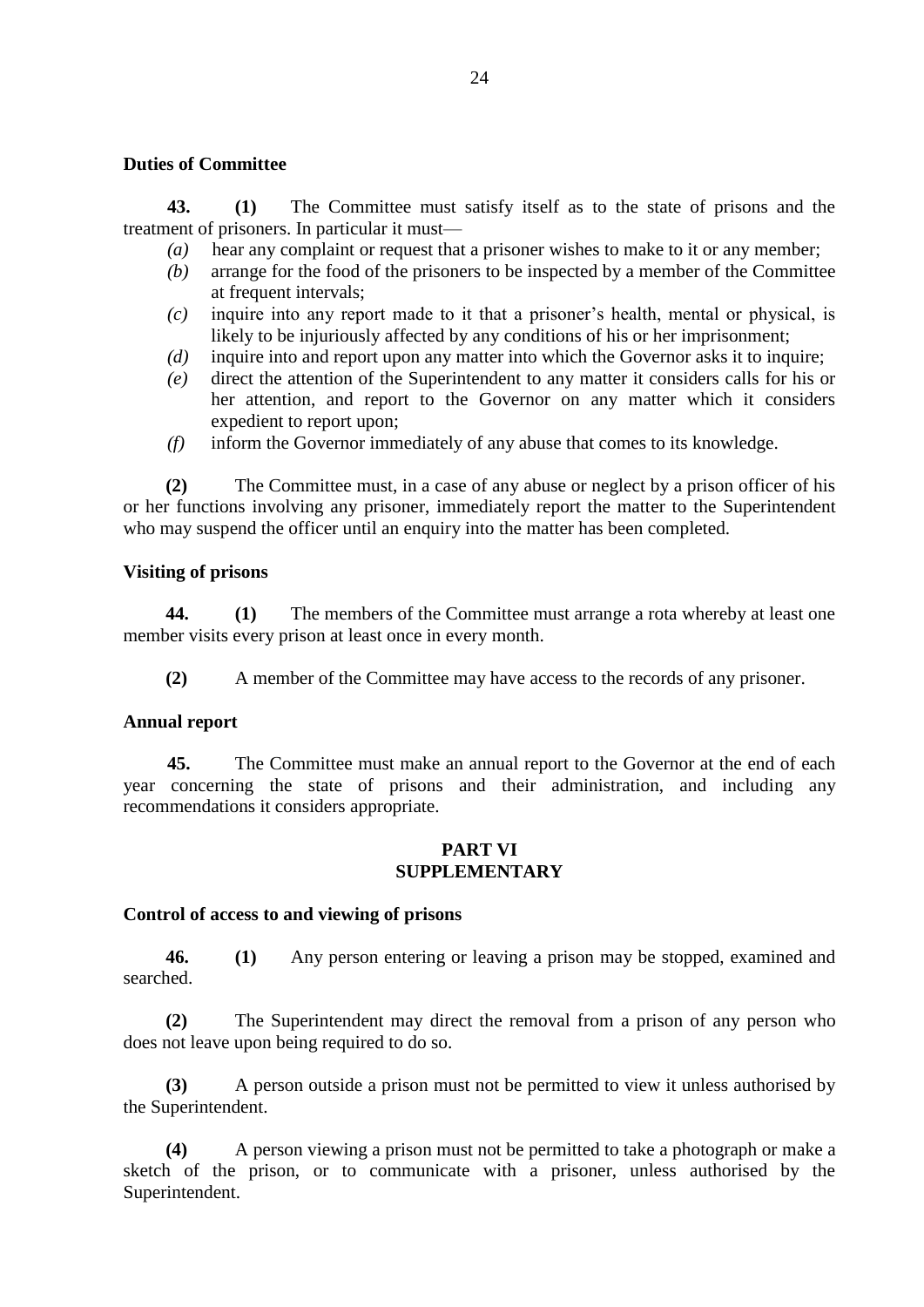#### **Duties of Committee**

**43. (1)** The Committee must satisfy itself as to the state of prisons and the treatment of prisoners. In particular it must—

- *(a)* hear any complaint or request that a prisoner wishes to make to it or any member;
- *(b)* arrange for the food of the prisoners to be inspected by a member of the Committee at frequent intervals;
- *(c)* inquire into any report made to it that a prisoner's health, mental or physical, is likely to be injuriously affected by any conditions of his or her imprisonment;
- *(d)* inquire into and report upon any matter into which the Governor asks it to inquire;
- *(e)* direct the attention of the Superintendent to any matter it considers calls for his or her attention, and report to the Governor on any matter which it considers expedient to report upon;
- *(f)* inform the Governor immediately of any abuse that comes to its knowledge.

**(2)** The Committee must, in a case of any abuse or neglect by a prison officer of his or her functions involving any prisoner, immediately report the matter to the Superintendent who may suspend the officer until an enquiry into the matter has been completed.

## **Visiting of prisons**

**44. (1)** The members of the Committee must arrange a rota whereby at least one member visits every prison at least once in every month.

**(2)** A member of the Committee may have access to the records of any prisoner.

## **Annual report**

**45.** The Committee must make an annual report to the Governor at the end of each year concerning the state of prisons and their administration, and including any recommendations it considers appropriate.

#### **PART VI SUPPLEMENTARY**

## **Control of access to and viewing of prisons**

**46. (1)** Any person entering or leaving a prison may be stopped, examined and searched.

**(2)** The Superintendent may direct the removal from a prison of any person who does not leave upon being required to do so.

**(3)** A person outside a prison must not be permitted to view it unless authorised by the Superintendent.

**(4)** A person viewing a prison must not be permitted to take a photograph or make a sketch of the prison, or to communicate with a prisoner, unless authorised by the Superintendent.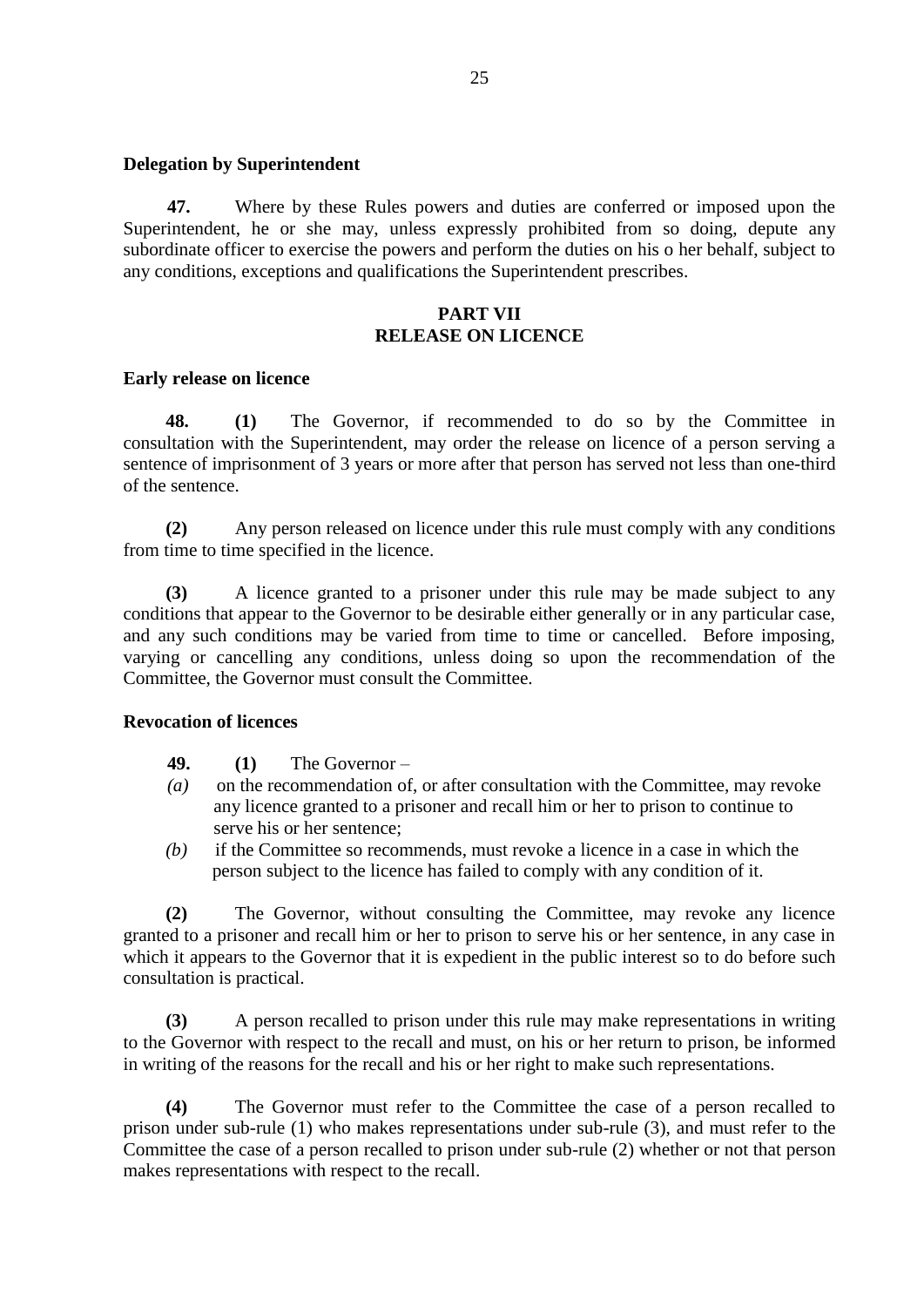#### **Delegation by Superintendent**

**47.** Where by these Rules powers and duties are conferred or imposed upon the Superintendent, he or she may, unless expressly prohibited from so doing, depute any subordinate officer to exercise the powers and perform the duties on his o her behalf, subject to any conditions, exceptions and qualifications the Superintendent prescribes.

## **PART VII RELEASE ON LICENCE**

#### **Early release on licence**

**48. (1)** The Governor, if recommended to do so by the Committee in consultation with the Superintendent, may order the release on licence of a person serving a sentence of imprisonment of 3 years or more after that person has served not less than one-third of the sentence.

**(2)** Any person released on licence under this rule must comply with any conditions from time to time specified in the licence.

**(3)** A licence granted to a prisoner under this rule may be made subject to any conditions that appear to the Governor to be desirable either generally or in any particular case, and any such conditions may be varied from time to time or cancelled. Before imposing, varying or cancelling any conditions, unless doing so upon the recommendation of the Committee, the Governor must consult the Committee.

#### **Revocation of licences**

- **49. (1)** The Governor –
- *(a)* on the recommendation of, or after consultation with the Committee, may revoke any licence granted to a prisoner and recall him or her to prison to continue to serve his or her sentence;
- *(b)* if the Committee so recommends, must revoke a licence in a case in which the person subject to the licence has failed to comply with any condition of it.

**(2)** The Governor, without consulting the Committee, may revoke any licence granted to a prisoner and recall him or her to prison to serve his or her sentence, in any case in which it appears to the Governor that it is expedient in the public interest so to do before such consultation is practical.

**(3)** A person recalled to prison under this rule may make representations in writing to the Governor with respect to the recall and must, on his or her return to prison, be informed in writing of the reasons for the recall and his or her right to make such representations.

**(4)** The Governor must refer to the Committee the case of a person recalled to prison under sub-rule (1) who makes representations under sub-rule (3), and must refer to the Committee the case of a person recalled to prison under sub-rule (2) whether or not that person makes representations with respect to the recall.